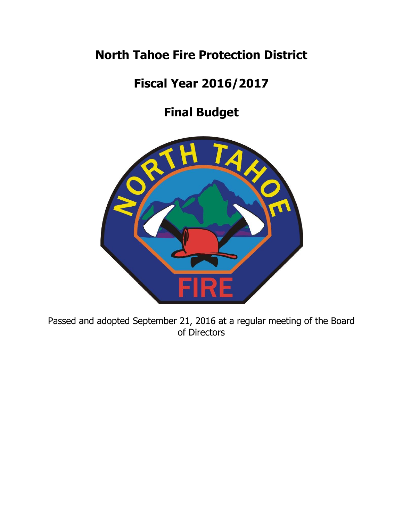# **North Tahoe Fire Protection District**

# **Fiscal Year 2016/2017**

# **Final Budget**



Passed and adopted September 21, 2016 at a regular meeting of the Board of Directors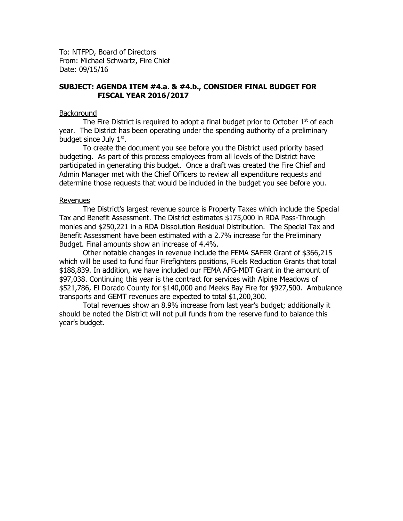To: NTFPD, Board of Directors From: Michael Schwartz, Fire Chief Date: 09/15/16

#### **SUBJECT: AGENDA ITEM #4.a. & #4.b., CONSIDER FINAL BUDGET FOR FISCAL YEAR 2016/2017**

#### **Background**

The Fire District is required to adopt a final budget prior to October  $1<sup>st</sup>$  of each year. The District has been operating under the spending authority of a preliminary budget since July 1st.

To create the document you see before you the District used priority based budgeting. As part of this process employees from all levels of the District have participated in generating this budget. Once a draft was created the Fire Chief and Admin Manager met with the Chief Officers to review all expenditure requests and determine those requests that would be included in the budget you see before you.

#### Revenues

The District's largest revenue source is Property Taxes which include the Special Tax and Benefit Assessment. The District estimates \$175,000 in RDA Pass-Through monies and \$250,221 in a RDA Dissolution Residual Distribution. The Special Tax and Benefit Assessment have been estimated with a 2.7% increase for the Preliminary Budget. Final amounts show an increase of 4.4%.

Other notable changes in revenue include the FEMA SAFER Grant of \$366,215 which will be used to fund four Firefighters positions, Fuels Reduction Grants that total \$188,839. In addition, we have included our FEMA AFG-MDT Grant in the amount of \$97,038. Continuing this year is the contract for services with Alpine Meadows of \$521,786, El Dorado County for \$140,000 and Meeks Bay Fire for \$927,500. Ambulance transports and GEMT revenues are expected to total \$1,200,300.

Total revenues show an 8.9% increase from last year's budget; additionally it should be noted the District will not pull funds from the reserve fund to balance this year's budget.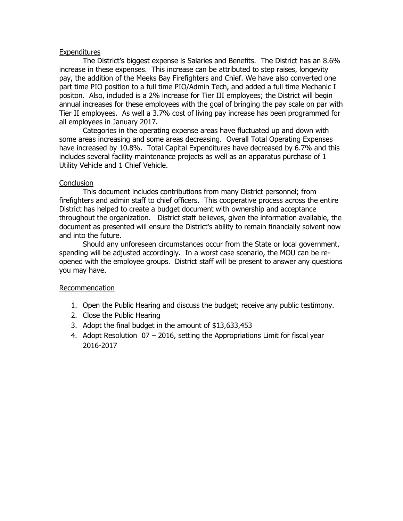#### **Expenditures**

The District's biggest expense is Salaries and Benefits. The District has an 8.6% increase in these expenses. This increase can be attributed to step raises, longevity pay, the addition of the Meeks Bay Firefighters and Chief. We have also converted one part time PIO position to a full time PIO/Admin Tech, and added a full time Mechanic I positon. Also, included is a 2% increase for Tier III employees; the District will begin annual increases for these employees with the goal of bringing the pay scale on par with Tier II employees. As well a 3.7% cost of living pay increase has been programmed for all employees in January 2017.

Categories in the operating expense areas have fluctuated up and down with some areas increasing and some areas decreasing. Overall Total Operating Expenses have increased by 10.8%. Total Capital Expenditures have decreased by 6.7% and this includes several facility maintenance projects as well as an apparatus purchase of 1 Utility Vehicle and 1 Chief Vehicle.

#### **Conclusion**

This document includes contributions from many District personnel; from firefighters and admin staff to chief officers. This cooperative process across the entire District has helped to create a budget document with ownership and acceptance throughout the organization. District staff believes, given the information available, the document as presented will ensure the District's ability to remain financially solvent now and into the future.

Should any unforeseen circumstances occur from the State or local government, spending will be adjusted accordingly. In a worst case scenario, the MOU can be reopened with the employee groups. District staff will be present to answer any questions you may have.

#### Recommendation

- 1. Open the Public Hearing and discuss the budget; receive any public testimony.
- 2. Close the Public Hearing
- 3. Adopt the final budget in the amount of \$13,633,453
- 4. Adopt Resolution 07 2016, setting the Appropriations Limit for fiscal year 2016-2017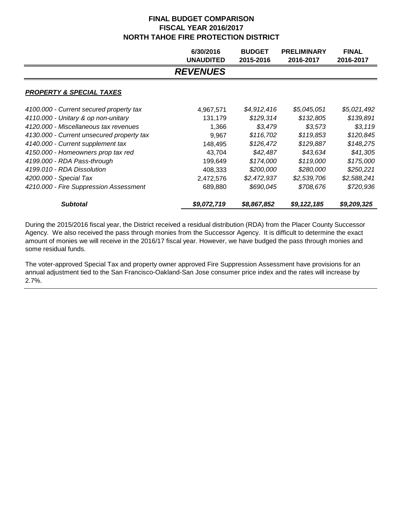|                                           | 6/30/2016<br><b>UNAUDITED</b> | <b>BUDGET</b><br>2015-2016 | <b>PRELIMINARY</b><br>2016-2017 | <b>FINAL</b><br>2016-2017 |
|-------------------------------------------|-------------------------------|----------------------------|---------------------------------|---------------------------|
|                                           | <b>REVENUES</b>               |                            |                                 |                           |
| <b>PROPERTY &amp; SPECIAL TAXES</b>       |                               |                            |                                 |                           |
| 4100.000 - Current secured property tax   | 4,967,571                     | \$4,912,416                | \$5,045,051                     | \$5,021,492               |
| 4110.000 - Unitary & op non-unitary       | 131,179                       | \$129,314                  | \$132,805                       | \$139,891                 |
| 4120,000 - Miscellaneous tax revenues     | 1,366                         | \$3,479                    | \$3,573                         | \$3,119                   |
| 4130.000 - Current unsecured property tax | 9,967                         | \$116,702                  | \$119.853                       | \$120,845                 |
| 4140.000 - Current supplement tax         | 148,495                       | \$126,472                  | \$129,887                       | \$148,275                 |
| 4150.000 - Homeowners prop tax red        | 43,704                        | \$42,487                   | \$43,634                        | \$41,305                  |
| 4199.000 - RDA Pass-through               | 199,649                       | \$174,000                  | \$119,000                       | \$175,000                 |
| 4199.010 - RDA Dissolution                | 408,333                       | \$200,000                  | \$280,000                       | \$250,221                 |
| 4200.000 - Special Tax                    | 2,472,576                     | \$2,472,937                | \$2,539,706                     | \$2,588,241               |
| 4210.000 - Fire Suppression Assessment    | 689,880                       | \$690,045                  | \$708,676                       | \$720,936                 |
| <b>Subtotal</b>                           | \$9,072,719                   | \$8,867,852                | \$9,122,185                     | \$9,209,325               |

During the 2015/2016 fiscal year, the District received a residual distribution (RDA) from the Placer County Successor Agency. We also received the pass through monies from the Successor Agency. It is difficult to determine the exact amount of monies we will receive in the 2016/17 fiscal year. However, we have budged the pass through monies and some residual funds.

The voter-approved Special Tax and property owner approved Fire Suppression Assessment have provisions for an annual adjustment tied to the San Francisco-Oakland-San Jose consumer price index and the rates will increase by 2.7%.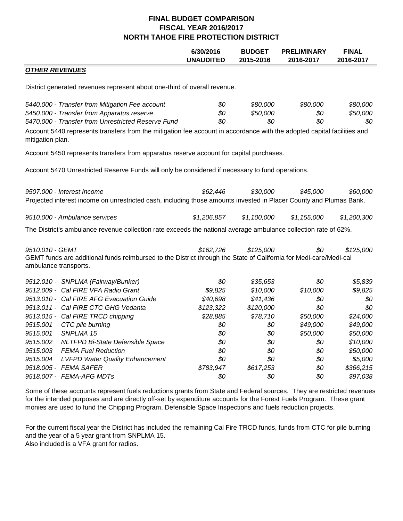|                                                                                                                                                                                                                                                                                                    | 6/30/2016<br><b>UNAUDITED</b> | <b>BUDGET</b><br>2015-2016  | <b>PRELIMINARY</b><br>2016-2017 | <b>FINAL</b><br>2016-2017   |
|----------------------------------------------------------------------------------------------------------------------------------------------------------------------------------------------------------------------------------------------------------------------------------------------------|-------------------------------|-----------------------------|---------------------------------|-----------------------------|
| <b>OTHER REVENUES</b>                                                                                                                                                                                                                                                                              |                               |                             |                                 |                             |
| District generated revenues represent about one-third of overall revenue.                                                                                                                                                                                                                          |                               |                             |                                 |                             |
| 5440.000 - Transfer from Mitigation Fee account<br>5450.000 - Transfer from Apparatus reserve<br>5470.000 - Transfer from Unrestricted Reserve Fund<br>Account 5440 represents transfers from the mitigation fee account in accordance with the adopted capital facilities and<br>mitigation plan. | \$0<br>\$0<br>\$0             | \$80,000<br>\$50,000<br>\$0 | \$80,000<br>\$0<br>\$0          | \$80,000<br>\$50,000<br>\$0 |
| Account 5450 represents transfers from apparatus reserve account for capital purchases.                                                                                                                                                                                                            |                               |                             |                                 |                             |
| Account 5470 Unrestricted Reserve Funds will only be considered if necessary to fund operations.                                                                                                                                                                                                   |                               |                             |                                 |                             |
| \$62,446<br>\$30,000<br>\$45,000<br>\$60,000<br>9507.000 - Interest Income<br>Projected interest income on unrestricted cash, including those amounts invested in Placer County and Plumas Bank.                                                                                                   |                               |                             |                                 |                             |
| 9510.000 - Ambulance services                                                                                                                                                                                                                                                                      | \$1,206,857                   | \$1,100,000                 | \$1,155,000                     | \$1,200,300                 |
| The District's ambulance revenue collection rate exceeds the national average ambulance collection rate of 62%.                                                                                                                                                                                    |                               |                             |                                 |                             |
| 9510.010 - GEMT<br>GEMT funds are additional funds reimbursed to the District through the State of California for Medi-care/Medi-cal<br>ambulance transports.                                                                                                                                      | \$162,726                     | \$125,000                   | \$0                             | \$125,000                   |
| 9512.010 - SNPLMA (Fairway/Bunker)                                                                                                                                                                                                                                                                 | \$0                           | \$35,653                    | \$0                             | \$5,839                     |
| 9512.009 - Cal FIRE VFA Radio Grant                                                                                                                                                                                                                                                                | \$9,825                       | \$10,000                    | \$10,000                        | \$9,825                     |
| 9513.010 - Cal FIRE AFG Evacuation Guide                                                                                                                                                                                                                                                           | \$40,698                      | \$41,436                    | \$0                             | \$0                         |
| 9513.011 - Cal FIRE CTC GHG Vedanta                                                                                                                                                                                                                                                                | \$123,322                     | \$120,000                   | \$0                             | \$0                         |
| 9513.015 - Cal FIRE TRCD chipping                                                                                                                                                                                                                                                                  | \$28,885                      | \$78,710                    | \$50,000                        | \$24,000                    |
| 9515.001<br>CTC pile burning                                                                                                                                                                                                                                                                       | \$0                           | \$0                         | \$49,000                        | \$49,000                    |
| 9515.001<br>SNPLMA 15                                                                                                                                                                                                                                                                              | \$0                           | \$0                         | \$50,000                        | \$50,000                    |
| 9515.002<br>NLTFPD Bi-State Defensible Space                                                                                                                                                                                                                                                       | \$0                           | \$0                         | \$0                             | \$10,000                    |
| 9515.003<br><b>FEMA Fuel Reduction</b>                                                                                                                                                                                                                                                             | \$0                           | \$0                         | \$0                             | \$50,000                    |
| 9515.004<br><b>LVFPD Water Quality Enhancement</b><br>9518.005 - FEMA SAFER                                                                                                                                                                                                                        | \$0<br>\$783,947              | \$0<br>\$617,253            | \$0<br>\$0                      | \$5,000<br>\$366,215        |
| 9518.007 - FEMA-AFG MDTs                                                                                                                                                                                                                                                                           | \$0                           | \$0                         | \$0                             | \$97,038                    |
|                                                                                                                                                                                                                                                                                                    |                               |                             |                                 |                             |

Some of these accounts represent fuels reductions grants from State and Federal sources. They are restricted revenues for the intended purposes and are directly off-set by expenditure accounts for the Forest Fuels Program. These grant monies are used to fund the Chipping Program, Defensible Space Inspections and fuels reduction projects.

For the current fiscal year the District has included the remaining Cal Fire TRCD funds, funds from CTC for pile burning and the year of a 5 year grant from SNPLMA 15. Also included is a VFA grant for radios.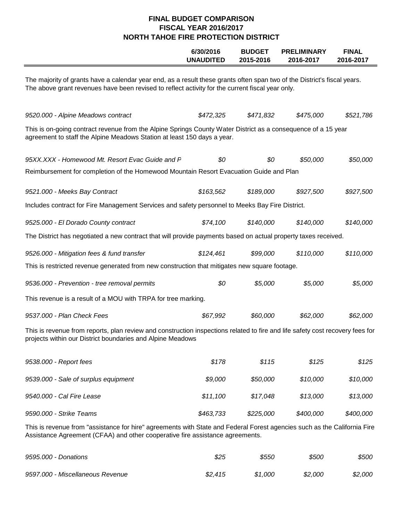|                                                                                                                                                                                                                              | 6/30/2016<br><b>UNAUDITED</b> | <b>BUDGET</b><br>2015-2016 | <b>PRELIMINARY</b><br>2016-2017 | <b>FINAL</b><br>2016-2017 |  |  |
|------------------------------------------------------------------------------------------------------------------------------------------------------------------------------------------------------------------------------|-------------------------------|----------------------------|---------------------------------|---------------------------|--|--|
| The majority of grants have a calendar year end, as a result these grants often span two of the District's fiscal years.<br>The above grant revenues have been revised to reflect activity for the current fiscal year only. |                               |                            |                                 |                           |  |  |
| 9520.000 - Alpine Meadows contract                                                                                                                                                                                           | \$472,325                     | \$471,832                  | \$475,000                       | \$521,786                 |  |  |
| This is on-going contract revenue from the Alpine Springs County Water District as a consequence of a 15 year<br>agreement to staff the Alpine Meadows Station at least 150 days a year.                                     |                               |                            |                                 |                           |  |  |
| 95XX.XXX - Homewood Mt. Resort Evac Guide and F                                                                                                                                                                              | \$0                           | \$0                        | \$50,000                        | \$50,000                  |  |  |
| Reimbursement for completion of the Homewood Mountain Resort Evacuation Guide and Plan                                                                                                                                       |                               |                            |                                 |                           |  |  |
| 9521.000 - Meeks Bay Contract                                                                                                                                                                                                | \$163,562                     | \$189,000                  | \$927,500                       | \$927,500                 |  |  |
| Includes contract for Fire Management Services and safety personnel to Meeks Bay Fire District.                                                                                                                              |                               |                            |                                 |                           |  |  |
| 9525.000 - El Dorado County contract                                                                                                                                                                                         | \$74,100                      | \$140,000                  | \$140,000                       | \$140,000                 |  |  |
| The District has negotiated a new contract that will provide payments based on actual property taxes received.                                                                                                               |                               |                            |                                 |                           |  |  |
| 9526.000 - Mitigation fees & fund transfer                                                                                                                                                                                   | \$124,461                     | \$99,000                   | \$110,000                       | \$110,000                 |  |  |
| This is restricted revenue generated from new construction that mitigates new square footage.                                                                                                                                |                               |                            |                                 |                           |  |  |
| 9536.000 - Prevention - tree removal permits                                                                                                                                                                                 | \$0                           | \$5,000                    | \$5,000                         | \$5,000                   |  |  |
| This revenue is a result of a MOU with TRPA for tree marking.                                                                                                                                                                |                               |                            |                                 |                           |  |  |
| 9537.000 - Plan Check Fees                                                                                                                                                                                                   | \$67,992                      | \$60,000                   | \$62,000                        | \$62,000                  |  |  |
| This is revenue from reports, plan review and construction inspections related to fire and life safety cost recovery fees for<br>projects within our District boundaries and Alpine Meadows                                  |                               |                            |                                 |                           |  |  |
| 9538.000 - Report fees                                                                                                                                                                                                       | \$178                         | \$115                      | \$125                           | \$125                     |  |  |
| 9539.000 - Sale of surplus equipment                                                                                                                                                                                         | \$9,000                       | \$50,000                   | \$10,000                        | \$10,000                  |  |  |
| 9540.000 - Cal Fire Lease                                                                                                                                                                                                    | \$11,100                      | \$17,048                   | \$13,000                        | \$13,000                  |  |  |
| 9590.000 - Strike Teams                                                                                                                                                                                                      | \$463,733                     | \$225,000                  | \$400,000                       | \$400,000                 |  |  |
| This is revenue from "assistance for hire" agreements with State and Federal Forest agencies such as the California Fire<br>Assistance Agreement (CFAA) and other cooperative fire assistance agreements.                    |                               |                            |                                 |                           |  |  |

| 9595.000 - Donations             | \$25    | \$550   | \$500   | \$500   |
|----------------------------------|---------|---------|---------|---------|
| 9597.000 - Miscellaneous Revenue | \$2,415 | \$1.000 | \$2,000 | \$2,000 |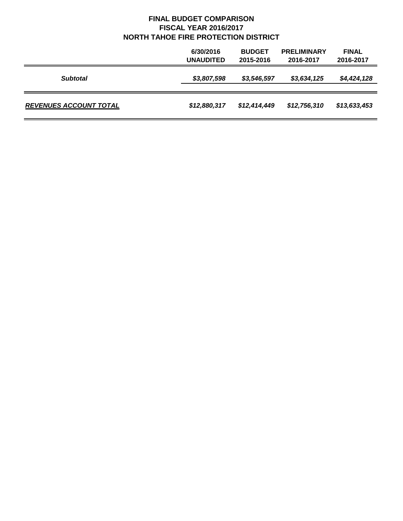|                               | 6/30/2016<br><b>UNAUDITED</b> | <b>BUDGET</b><br>2015-2016 | <b>PRELIMINARY</b><br>2016-2017 | <b>FINAL</b><br>2016-2017 |
|-------------------------------|-------------------------------|----------------------------|---------------------------------|---------------------------|
| <b>Subtotal</b>               | \$3,807,598                   | \$3,546,597                | \$3,634,125                     | \$4,424,128               |
| <b>REVENUES ACCOUNT TOTAL</b> | \$12,880,317                  | \$12,414,449               | \$12,756,310                    | \$13,633,453              |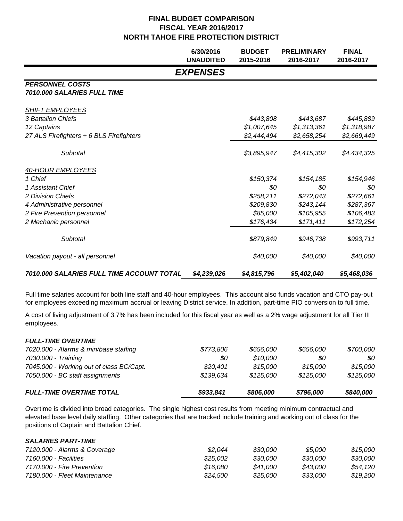|                                                       | 6/30/2016<br><b>UNAUDITED</b> | <b>BUDGET</b><br>2015-2016 | <b>PRELIMINARY</b><br>2016-2017 | <b>FINAL</b><br>2016-2017 |
|-------------------------------------------------------|-------------------------------|----------------------------|---------------------------------|---------------------------|
|                                                       | <b>EXPENSES</b>               |                            |                                 |                           |
| <b>PERSONNEL COSTS</b><br>7010.000 SALARIES FULL TIME |                               |                            |                                 |                           |
| <b>SHIFT EMPLOYEES</b>                                |                               |                            |                                 |                           |
| 3 Battalion Chiefs                                    |                               | \$443,808                  | \$443,687                       | \$445,889                 |
| 12 Captains                                           |                               | \$1,007,645                | \$1,313,361                     | \$1,318,987               |
| 27 ALS Firefighters + 6 BLS Firefighters              |                               | \$2,444,494                | \$2,658,254                     | \$2,669,449               |
| Subtotal                                              |                               | \$3,895,947                | \$4,415,302                     | \$4,434,325               |
| 40-HOUR EMPLOYEES                                     |                               |                            |                                 |                           |
| 1 Chief                                               |                               | \$150,374                  | \$154,185                       | \$154,946                 |
| 1 Assistant Chief                                     |                               | \$0                        | \$0                             | \$0                       |
| 2 Division Chiefs                                     |                               | \$258,211                  | \$272,043                       | \$272,661                 |
| 4 Administrative personnel                            |                               | \$209,830                  | \$243,144                       | \$287,367                 |
| 2 Fire Prevention personnel                           |                               | \$85,000                   | \$105,955                       | \$106,483                 |
| 2 Mechanic personnel                                  |                               | \$176,434                  | \$171,411                       | \$172,254                 |
| Subtotal                                              |                               | \$879,849                  | \$946,738                       | \$993,711                 |
| Vacation payout - all personnel                       |                               | \$40,000                   | \$40,000                        | \$40,000                  |
| 7010.000 SALARIES FULL TIME ACCOUNT TOTAL             | \$4,239,026                   | \$4,815,796                | \$5,402,040                     | \$5,468,036               |

Full time salaries account for both line staff and 40-hour employees. This account also funds vacation and CTO pay-out for employees exceeding maximum accrual or leaving District service. In addition, part-time PIO conversion to full time.

A cost of living adjustment of 3.7% has been included for this fiscal year as well as a 2% wage adjustment for all Tier III employees.

| <b>FULL-TIME OVERTIME TOTAL</b>          | \$933,841 | \$806,000 | \$796,000 | \$840,000 |
|------------------------------------------|-----------|-----------|-----------|-----------|
| 7050.000 - BC staff assignments          | \$139,634 | \$125,000 | \$125,000 | \$125,000 |
| 7045.000 - Working out of class BC/Capt. | \$20,401  | \$15.000  | \$15,000  | \$15.000  |
| 7030.000 - Training                      | 80        | \$10.000  | 80        | 80        |
| 7020.000 - Alarms & min/base staffing    | \$773,806 | \$656,000 | \$656.000 | \$700,000 |
| <b>FULL-TIME OVERTIME</b>                |           |           |           |           |

Overtime is divided into broad categories. The single highest cost results from meeting minimum contractual and elevated base level daily staffing. Other categories that are tracked include training and working out of class for the positions of Captain and Battalion Chief.

#### *SALARIES PART-TIME*

| 7120.000 - Alarms & Coverage | \$2.044  | \$30.000 | \$5.000  | \$15.000 |
|------------------------------|----------|----------|----------|----------|
| 7160.000 - Facilities        | \$25.002 | \$30.000 | \$30.000 | \$30.000 |
| 7170.000 - Fire Prevention   | \$16.080 | \$41.000 | \$43.000 | \$54.120 |
| 7180.000 - Fleet Maintenance | \$24.500 | \$25.000 | \$33.000 | \$19.200 |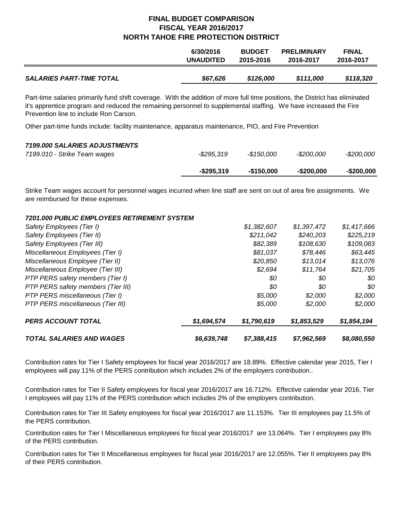|                                 | 6/30/2016        | <b>BUDGET</b> | <b>PRELIMINARY</b> | <b>FINAL</b> |
|---------------------------------|------------------|---------------|--------------------|--------------|
|                                 | <b>UNAUDITED</b> | 2015-2016     | 2016-2017          | 2016-2017    |
| <b>SALARIES PART-TIME TOTAL</b> | \$67,626         | \$126,000     | \$111,000          | \$118,320    |

Part-time salaries primarily fund shift coverage. With the addition of more full time positions, the District has eliminated it's apprentice program and reduced the remaining personnel to supplemental staffing. We have increased the Fire Prevention line to include Ron Carson.

Other part-time funds include: facility maintenance, apparatus maintenance, PIO, and Fire Prevention

#### *7199.000 SALARIES ADJUSTMENTS*

| 7199.010 - Strike Team wages |               |             |               |            |
|------------------------------|---------------|-------------|---------------|------------|
|                              | $-$ \$295,319 | $-$150.000$ | $-$ \$200.000 | -\$200.000 |

Strike Team wages account for personnel wages incurred when line staff are sent on out of area fire assignments. We are reimbursed for these expenses.

#### *7201.000 PUBLIC EMPLOYEES RETIREMENT SYSTEM*

| <b>TOTAL SALARIES AND WAGES</b>    | \$6,639,748 | \$7,388,415 | \$7,962,569 | \$8,080,550 |
|------------------------------------|-------------|-------------|-------------|-------------|
| <b>PERS ACCOUNT TOTAL</b>          | \$1,694,574 | \$1,790,619 | \$1,853,529 | \$1,854,194 |
| PTP PERS miscellaneous (Tier III)  |             | \$5,000     | \$2,000     | \$2,000     |
| PTP PERS miscellaneous (Tier I)    |             | \$5,000     | \$2,000     | \$2,000     |
| PTP PERS safety members (Tier III) |             | \$0         | 80          | 80          |
| PTP PERS safety members (Tier I)   |             | \$0         | \$0         | \$0         |
| Miscellaneous Employee (Tier III)  |             | \$2,694     | \$11.764    | \$21,705    |
| Miscellaneous Employee (Tier II)   |             | \$20,850    | \$13,014    | \$13,076    |
| Miscellaneous Employees (Tier I)   |             | \$81,037    | \$78,446    | \$63,445    |
| Safety Employees (Tier III)        |             | \$82,389    | \$108,630   | \$109,083   |
| Safety Employees (Tier II)         |             | \$211.042   | \$240,203   | \$225,219   |
| Safety Employees (Tier I)          |             | \$1,382,607 | \$1,397,472 | \$1,417,666 |

Contribution rates for Tier I Safety employees for fiscal year 2016/2017 are 18.89%. Effective calendar year 2015, Tier I employees will pay 11% of the PERS contribution which includes 2% of the employers contribution..

Contribution rates for Tier II Safety employees for fiscal year 2016/2017 are 16.712%. Effective calendar year 2016, Tier I employees will pay 11% of the PERS contribution which includes 2% of the employers contribution.

Contribution rates for Tier III Safety employees for fiscal year 2016/2017 are 11.153%. Tier III employees pay 11.5% of the PERS contribution.

Contribution rates for Tier I Miscellaneous employees for fiscal year 2016/2017 are 13.064%. Tier I employees pay 8% of the PERS contribution.

Contribution rates for Tier II Miscellaneous employees for fiscal year 2016/2017 are 12.055%. Tier II employees pay 8% of their PERS contribution.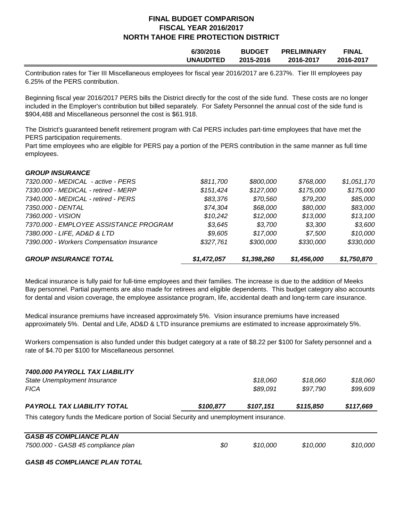| 6/30/2016        | <b>BUDGET</b> | <b>PRELIMINARY</b> | <b>FINAL</b> |
|------------------|---------------|--------------------|--------------|
| <b>UNAUDITED</b> | 2015-2016     | 2016-2017          | 2016-2017    |
|                  |               |                    |              |

Contribution rates for Tier III Miscellaneous employees for fiscal year 2016/2017 are 6.237%. Tier III employees pay 6.25% of the PERS contribution.

Beginning fiscal year 2016/2017 PERS bills the District directly for the cost of the side fund. These costs are no longer included in the Employer's contribution but billed separately. For Safety Personnel the annual cost of the side fund is \$904,488 and Miscellaneous personnel the cost is \$61.918.

The District's guaranteed benefit retirement program with Cal PERS includes part-time employees that have met the PERS participation requirements.

Part time employees who are eligible for PERS pay a portion of the PERS contribution in the same manner as full time employees.

| <b>GROUP INSURANCE TOTAL</b>              | \$1,472,057 | \$1,398,260 | \$1,456,000 | \$1,750,870 |
|-------------------------------------------|-------------|-------------|-------------|-------------|
| 7390.000 - Workers Compensation Insurance | \$327,761   | \$300,000   | \$330,000   | \$330,000   |
| 7380.000 - LIFE, AD&D & LTD               | \$9,605     | \$17.000    | \$7.500     | \$10,000    |
| 7370.000 - EMPLOYEE ASSISTANCE PROGRAM    | \$3,645     | \$3.700     | \$3,300     | \$3,600     |
| 7360.000 - VISION                         | \$10,242    | \$12,000    | \$13,000    | \$13,100    |
| 7350.000 - DENTAL                         | \$74,304    | \$68,000    | \$80,000    | \$83,000    |
| 7340.000 - MEDICAL - retired - PERS       | \$83,376    | \$70,560    | \$79,200    | \$85,000    |
| 7330.000 - MEDICAL - retired - MERP       | \$151,424   | \$127,000   | \$175,000   | \$175,000   |
| 7320.000 - MEDICAL - active - PERS        | \$811,700   | \$800,000   | \$768,000   | \$1,051,170 |
| <b>GROUP INSURANCE</b>                    |             |             |             |             |

Medical insurance is fully paid for full-time employees and their families. The increase is due to the addition of Meeks Bay personnel. Partial payments are also made for retirees and eligible dependents. This budget category also accounts for dental and vision coverage, the employee assistance program, life, accidental death and long-term care insurance.

Medical insurance premiums have increased approximately 5%. Vision insurance premiums have increased approximately 5%. Dental and Life, AD&D & LTD insurance premiums are estimated to increase approximately 5%.

Workers compensation is also funded under this budget category at a rate of \$8.22 per \$100 for Safety personnel and a rate of \$4.70 per \$100 for Miscellaneous personnel.

| <b>PAYROLL TAX LIABILITY TOTAL</b> | \$100.877 | \$107.151 | \$115,850 | \$117,669 |
|------------------------------------|-----------|-----------|-----------|-----------|
| <b>FICA</b>                        |           | \$89,091  | \$97.790  | \$99.609  |
| State Unemployment Insurance       |           | \$18.060  | \$18.060  | \$18.060  |
| 7400.000 PAYROLL TAX LIABILITY     |           |           |           |           |

This category funds the Medicare portion of Social Security and unemployment insurance.

| <b>GASB 45 COMPLIANCE PLAN</b>     |     |          |          |          |
|------------------------------------|-----|----------|----------|----------|
| 7500.000 - GASB 45 compliance plan | \$0 | \$10.000 | \$10.000 | \$10,000 |

*GASB 45 COMPLIANCE PLAN TOTAL*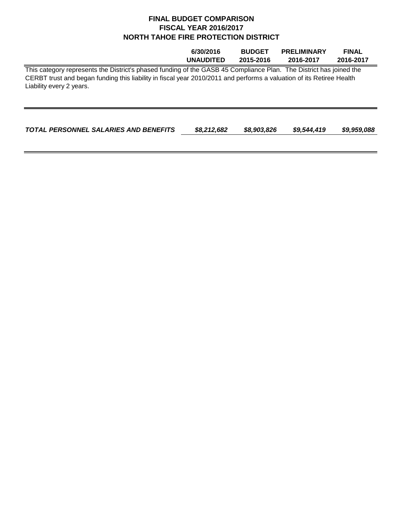|                                                                                                                                                                                                                                                                        | 6/30/2016        | <b>BUDGET</b> | <b>PRELIMINARY</b> | <b>FINAL</b> |
|------------------------------------------------------------------------------------------------------------------------------------------------------------------------------------------------------------------------------------------------------------------------|------------------|---------------|--------------------|--------------|
|                                                                                                                                                                                                                                                                        | <b>UNAUDITED</b> | 2015-2016     | 2016-2017          | 2016-2017    |
| This category represents the District's phased funding of the GASB 45 Compliance Plan. The District has joined the<br>CERBT trust and began funding this liability in fiscal year 2010/2011 and performs a valuation of its Retiree Health<br>Liability every 2 years. |                  |               |                    |              |
|                                                                                                                                                                                                                                                                        |                  |               |                    |              |

| TOTAL PERSONNEL SALARIES AND BENEFITS | \$8,212,682 | \$8,903,826 | \$9,544,419 | \$9,959,088 |
|---------------------------------------|-------------|-------------|-------------|-------------|
|                                       |             |             |             |             |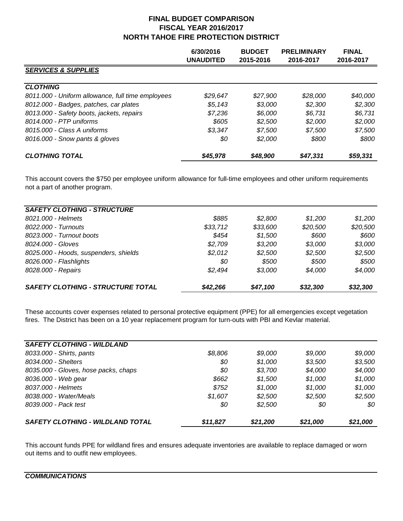|                                                   | 6/30/2016<br>UNAUDITED | <b>BUDGET</b><br>2015-2016 | <b>PRELIMINARY</b><br>2016-2017 | <b>FINAL</b><br>2016-2017 |
|---------------------------------------------------|------------------------|----------------------------|---------------------------------|---------------------------|
| <b>SERVICES &amp; SUPPLIES</b>                    |                        |                            |                                 |                           |
| <b>CLOTHING</b>                                   |                        |                            |                                 |                           |
| 8011.000 - Uniform allowance, full time employees | \$29.647               | \$27.900                   | \$28,000                        | \$40,000                  |
| 8012.000 - Badges, patches, car plates            | \$5,143                | \$3.000                    | \$2,300                         | \$2,300                   |
| 8013.000 - Safety boots, jackets, repairs         | \$7.236                | \$6.000                    | \$6.731                         | \$6,731                   |
| 8014,000 - PTP uniforms                           | \$605                  | \$2,500                    | \$2,000                         | \$2,000                   |
| 8015.000 - Class A uniforms                       | \$3,347                | \$7.500                    | \$7,500                         | \$7,500                   |
| 8016.000 - Snow pants & gloves                    | \$0                    | \$2,000                    | \$800                           | \$800                     |
| <b>CLOTHING TOTAL</b>                             | \$45,978               | \$48,900                   | \$47.331                        | \$59,331                  |

This account covers the \$750 per employee uniform allowance for full-time employees and other uniform requirements not a part of another program.

| <b>SAFETY CLOTHING - STRUCTURE</b>       |          |          |          |          |
|------------------------------------------|----------|----------|----------|----------|
| 8021.000 - Helmets                       | \$885    | \$2.800  | \$1.200  | \$1.200  |
| 8022.000 - Turnouts                      | \$33,712 | \$33,600 | \$20,500 | \$20,500 |
| 8023.000 - Turnout boots                 | \$454    | \$1,500  | \$600    | \$600    |
| 8024.000 - Gloves                        | \$2,709  | \$3,200  | \$3,000  | \$3,000  |
| 8025.000 - Hoods, suspenders, shields    | \$2,012  | \$2,500  | \$2,500  | \$2,500  |
| 8026.000 - Flashlights                   | \$0      | \$500    | \$500    | \$500    |
| 8028.000 - Repairs                       | \$2.494  | \$3.000  | \$4,000  | \$4,000  |
| <b>SAFETY CLOTHING - STRUCTURE TOTAL</b> | \$42,266 | \$47,100 | \$32,300 | \$32,300 |

These accounts cover expenses related to personal protective equipment (PPE) for all emergencies except vegetation fires. The District has been on a 10 year replacement program for turn-outs with PBI and Kevlar material.

| <b>SAFETY CLOTHING - WILDLAND</b>       |          |          |          |          |
|-----------------------------------------|----------|----------|----------|----------|
| 8033.000 - Shirts, pants                | \$8,806  | \$9,000  | \$9,000  | \$9,000  |
| 8034.000 - Shelters                     | \$0      | \$1,000  | \$3,500  | \$3,500  |
| 8035.000 - Gloves, hose packs, chaps    | \$0      | \$3,700  | \$4,000  | \$4,000  |
| 8036.000 - Web gear                     | \$662    | \$1,500  | \$1,000  | \$1,000  |
| 8037.000 - Helmets                      | \$752    | \$1.000  | \$1.000  | \$1,000  |
| 8038.000 - Water/Meals                  | \$1,607  | \$2,500  | \$2,500  | \$2,500  |
| 8039.000 - Pack test                    | \$0      | \$2,500  | 80       | 80       |
| <b>SAFETY CLOTHING - WILDLAND TOTAL</b> | \$11,827 | \$21,200 | \$21,000 | \$21,000 |

This account funds PPE for wildland fires and ensures adequate inventories are available to replace damaged or worn out items and to outfit new employees.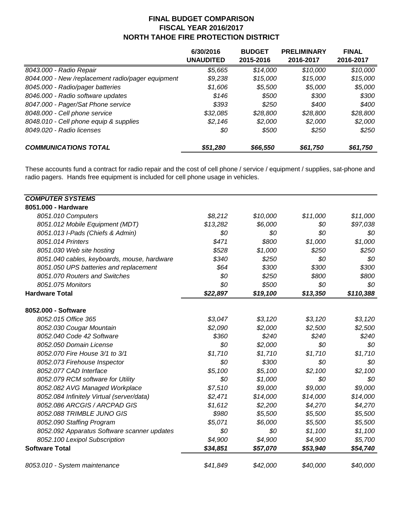|                                                   | 6/30/2016<br>UNAUDITED | <b>BUDGET</b><br>2015-2016 | <b>PRELIMINARY</b><br>2016-2017 | <b>FINAL</b><br>2016-2017 |
|---------------------------------------------------|------------------------|----------------------------|---------------------------------|---------------------------|
| 8043.000 - Radio Repair                           | \$5,665                | \$14,000                   | \$10,000                        | \$10,000                  |
| 8044.000 - New /replacement radio/pager equipment | \$9,238                | \$15,000                   | \$15,000                        | \$15,000                  |
| 8045.000 - Radio/pager batteries                  | \$1,606                | \$5,500                    | \$5,000                         | \$5,000                   |
| 8046.000 - Radio software updates                 | \$146                  | \$500                      | \$300                           | \$300                     |
| 8047.000 - Pager/Sat Phone service                | \$393                  | \$250                      | \$400                           | \$400                     |
| 8048.000 - Cell phone service                     | \$32,085               | \$28,800                   | \$28,800                        | \$28,800                  |
| 8048.010 - Cell phone equip & supplies            | \$2,146                | \$2,000                    | \$2,000                         | \$2,000                   |
| 8049.020 - Radio licenses                         | \$0                    | \$500                      | \$250                           | \$250                     |
| <b>COMMUNICATIONS TOTAL</b>                       | \$51,280               | \$66,550                   | \$61,750                        | \$61,750                  |

These accounts fund a contract for radio repair and the cost of cell phone / service / equipment / supplies, sat-phone and radio pagers. Hands free equipment is included for cell phone usage in vehicles.

| <b>COMPUTER SYSTEMS</b>                     |          |          |          |           |
|---------------------------------------------|----------|----------|----------|-----------|
| 8051.000 - Hardware                         |          |          |          |           |
| 8051.010 Computers                          | \$8,212  | \$10,000 | \$11,000 | \$11,000  |
| 8051.012 Mobile Equipment (MDT)             | \$13,282 | \$6,000  | \$0      | \$97,038  |
| 8051.013 I-Pads (Chiefs & Admin)            | \$0      | \$0      | \$0      | \$0       |
| 8051.014 Printers                           | \$471    | \$800    | \$1,000  | \$1,000   |
| 8051.030 Web site hosting                   | \$528    | \$1,000  | \$250    | \$250     |
| 8051.040 cables, keyboards, mouse, hardware | \$340    | \$250    | \$0      | \$0       |
| 8051.050 UPS batteries and replacement      | \$64     | \$300    | \$300    | \$300     |
| 8051.070 Routers and Switches               | \$0      | \$250    | \$800    | \$800     |
| 8051.075 Monitors                           | \$0      | \$500    | \$0      | \$0       |
| <b>Hardware Total</b>                       | \$22,897 | \$19,100 | \$13,350 | \$110,388 |
| 8052.000 - Software                         |          |          |          |           |
| 8052.015 Office 365                         | \$3,047  | \$3,120  | \$3,120  | \$3,120   |
| 8052.030 Cougar Mountain                    | \$2,090  | \$2,000  | \$2,500  | \$2,500   |
| 8052.040 Code 42 Software                   | \$360    | \$240    | \$240    | \$240     |
| 8052.050 Domain License                     | \$0      | \$2,000  | \$0      | \$0       |
| 8052.070 Fire House 3/1 to 3/1              | \$1,710  | \$1,710  | \$1,710  | \$1,710   |
| 8052.073 Firehouse Inspector                | \$0      | \$300    | \$0      | \$0       |
| 8052.077 CAD Interface                      | \$5,100  | \$5,100  | \$2,100  | \$2,100   |
| 8052.079 RCM software for Utility           | \$0      | \$1,000  | \$0      | \$0       |
| 8052.082 AVG Managed Workplace              | \$7,510  | \$9,000  | \$9,000  | \$9,000   |
| 8052.084 Infinitely Virtual (server/data)   | \$2,471  | \$14,000 | \$14,000 | \$14,000  |
| 8052.086 ARCGIS / ARCPAD GIS                | \$1,612  | \$2,200  | \$4,270  | \$4,270   |
| 8052.088 TRIMBLE JUNO GIS                   | \$980    | \$5,500  | \$5,500  | \$5,500   |
| 8052.090 Staffing Program                   | \$5,071  | \$6,000  | \$5,500  | \$5,500   |
| 8052.092 Apparatus Software scanner updates | \$0      | \$0      | \$1,100  | \$1,100   |
| 8052.100 Lexipol Subscription               | \$4,900  | \$4,900  | \$4,900  | \$5,700   |
| <b>Software Total</b>                       | \$34,851 | \$57,070 | \$53,940 | \$54,740  |
| 8053.010 - System maintenance               | \$41,849 | \$42,000 | \$40,000 | \$40,000  |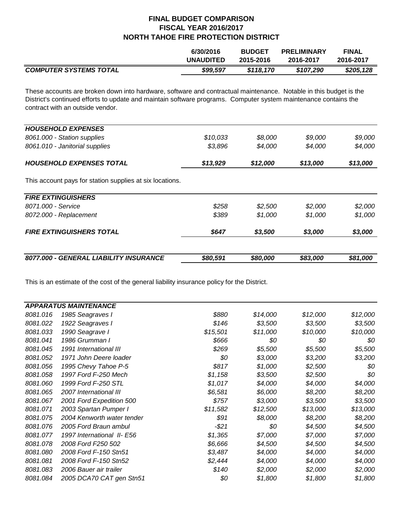|                               | 6/30/2016        | <b>BUDGET</b> | <b>PRELIMINARY</b> | <b>FINAL</b> |
|-------------------------------|------------------|---------------|--------------------|--------------|
|                               | <b>UNAUDITED</b> | 2015-2016     | 2016-2017          | 2016-2017    |
| <b>COMPUTER SYSTEMS TOTAL</b> | \$99.597         | \$118.170     | \$107.290          | \$205,128    |

These accounts are broken down into hardware, software and contractual maintenance. Notable in this budget is the District's continued efforts to update and maintain software programs. Computer system maintenance contains the contract with an outside vendor.

| 8077.000 - GENERAL LIABILITY INSURANCE                   | \$80,591 | \$80,000 | \$83,000 | \$81,000 |
|----------------------------------------------------------|----------|----------|----------|----------|
|                                                          |          |          |          |          |
| <b>FIRE EXTINGUISHERS TOTAL</b>                          | \$647    | \$3,500  | \$3,000  | \$3,000  |
| 8072.000 - Replacement                                   | \$389    | \$1.000  | \$1,000  | \$1,000  |
| 8071.000 - Service                                       | \$258    | \$2,500  | \$2,000  | \$2,000  |
| <b>FIRE EXTINGUISHERS</b>                                |          |          |          |          |
| This account pays for station supplies at six locations. |          |          |          |          |
| <b>HOUSEHOLD EXPENSES TOTAL</b>                          | \$13,929 | \$12,000 | \$13,000 | \$13,000 |
| 8061.010 - Janitorial supplies                           | \$3,896  | \$4,000  | \$4,000  | \$4,000  |
| 8061.000 - Station supplies                              | \$10,033 | \$8,000  | \$9,000  | \$9,000  |
| <b>HOUSEHOLD EXPENSES</b>                                |          |          |          |          |

This is an estimate of the cost of the general liability insurance policy for the District.

|          | <b>APPARATUS MAINTENANCE</b> |          |          |          |          |
|----------|------------------------------|----------|----------|----------|----------|
| 8081.016 | 1985 Seagraves I             | \$880    | \$14,000 | \$12,000 | \$12,000 |
| 8081.022 | 1922 Seagraves I             | \$146    | \$3,500  | \$3,500  | \$3,500  |
| 8081.033 | 1990 Seagrave I              | \$15,501 | \$11,000 | \$10,000 | \$10,000 |
| 8081.041 | 1986 Grumman I               | \$666    | \$0      | \$0      | \$0      |
| 8081.045 | 1991 International III       | \$269    | \$5,500  | \$5,500  | \$5,500  |
| 8081.052 | 1971 John Deere loader       | \$0      | \$3,000  | \$3,200  | \$3,200  |
| 8081.056 | 1995 Chevy Tahoe P-5         | \$817    | \$1,000  | \$2,500  | \$0      |
| 8081.058 | 1997 Ford F-250 Mech         | \$1,158  | \$3,500  | \$2,500  | \$0      |
| 8081.060 | 1999 Ford F-250 STL          | \$1,017  | \$4,000  | \$4,000  | \$4,000  |
| 8081.065 | 2007 International III       | \$6,581  | \$6,000  | \$8,200  | \$8,200  |
| 8081.067 | 2001 Ford Expedition 500     | \$757    | \$3,000  | \$3,500  | \$3,500  |
| 8081.071 | 2003 Spartan Pumper I        | \$11,582 | \$12,500 | \$13,000 | \$13,000 |
| 8081.075 | 2004 Kenworth water tender   | \$91     | \$8,000  | \$8,200  | \$8,200  |
| 8081.076 | 2005 Ford Braun ambul        | $-521$   | \$0      | \$4,500  | \$4,500  |
| 8081.077 | 1997 International II- E56   | \$1,365  | \$7,000  | \$7,000  | \$7,000  |
| 8081.078 | 2008 Ford F250 502           | \$6,666  | \$4,500  | \$4,500  | \$4,500  |
| 8081.080 | 2008 Ford F-150 Stn51        | \$3,487  | \$4,000  | \$4,000  | \$4,000  |
| 8081.081 | 2008 Ford F-150 Stn52        | \$2,444  | \$4,000  | \$4,000  | \$4,000  |
| 8081.083 | 2006 Bauer air trailer       | \$140    | \$2,000  | \$2,000  | \$2,000  |
| 8081.084 | 2005 DCA70 CAT gen Stn51     | \$0      | \$1,800  | \$1,800  | \$1,800  |
|          |                              |          |          |          |          |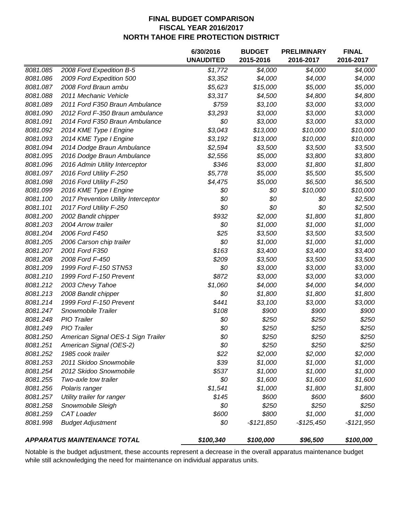|          |                                     | 6/30/2016        | <b>BUDGET</b> | <b>PRELIMINARY</b> | <b>FINAL</b> |
|----------|-------------------------------------|------------------|---------------|--------------------|--------------|
|          |                                     | <b>UNAUDITED</b> | 2015-2016     | 2016-2017          | 2016-2017    |
| 8081.085 | 2008 Ford Expedition B-5            | \$1,772          | \$4,000       | \$4,000            | \$4,000      |
| 8081.086 | 2009 Ford Expedition 500            | \$3,352          | \$4,000       | \$4,000            | \$4,000      |
| 8081.087 | 2008 Ford Braun ambu                | \$5,623          | \$15,000      | \$5,000            | \$5,000      |
| 8081.088 | 2011 Mechanic Vehicle               | \$3,317          | \$4,500       | \$4,800            | \$4,800      |
| 8081.089 | 2011 Ford F350 Braun Ambulance      | \$759            | \$3,100       | \$3,000            | \$3,000      |
| 8081.090 | 2012 Ford F-350 Braun ambulance     | \$3,293          | \$3,000       | \$3,000            | \$3,000      |
| 8081.091 | 2014 Ford F350 Braun Ambulance      | \$0              | \$3,000       | \$3,000            | \$3,000      |
| 8081.092 | 2014 KME Type I Engine              | \$3,043          | \$13,000      | \$10,000           | \$10,000     |
| 8081.093 | 2014 KME Type I Engine              | \$3,192          | \$13,000      | \$10,000           | \$10,000     |
| 8081.094 | 2014 Dodge Braun Ambulance          | \$2,594          | \$3,500       | \$3,500            | \$3,500      |
| 8081.095 | 2016 Dodge Braun Ambulance          | \$2,556          | \$5,000       | \$3,800            | \$3,800      |
| 8081.096 | 2016 Admin Utility Interceptor      | \$346            | \$3,000       | \$1,800            | \$1,800      |
| 8081.097 | 2016 Ford Utility F-250             | \$5,778          | \$5,000       | \$5,500            | \$5,500      |
| 8081.098 | 2016 Ford Utility F-250             | \$4,475          | \$5,000       | \$6,500            | \$6,500      |
| 8081.099 | 2016 KME Type I Engine              | \$0              | \$0           | \$10,000           | \$10,000     |
| 8081.100 | 2017 Prevention Utility Interceptor | \$0              | \$0           | \$0                | \$2,500      |
| 8081.101 | 2017 Ford Utility F-250             | \$0              | \$0           | \$0                | \$2,500      |
| 8081.200 | 2002 Bandit chipper                 | \$932            | \$2,000       | \$1,800            | \$1,800      |
| 8081.203 | 2004 Arrow trailer                  | \$0              | \$1,000       | \$1,000            | \$1,000      |
| 8081.204 | 2006 Ford F450                      | \$25             | \$3,500       | \$3,500            | \$3,500      |
| 8081.205 | 2006 Carson chip trailer            | \$0              | \$1,000       | \$1,000            | \$1,000      |
| 8081.207 | 2001 Ford F350                      | \$163            | \$3,400       | \$3,400            | \$3,400      |
| 8081.208 | 2008 Ford F-450                     | \$209            | \$3,500       | \$3,500            | \$3,500      |
| 8081.209 | 1999 Ford F-150 STN53               | \$0              | \$3,000       | \$3,000            | \$3,000      |
| 8081.210 | 1999 Ford F-150 Prevent             | \$872            | \$3,000       | \$3,000            | \$3,000      |
| 8081.212 | 2003 Chevy Tahoe                    | \$1,060          | \$4,000       | \$4,000            | \$4,000      |
| 8081.213 | 2008 Bandit chipper                 | \$0              | \$1,800       | \$1,800            | \$1,800      |
| 8081.214 | 1999 Ford F-150 Prevent             | \$441            | \$3,100       | \$3,000            | \$3,000      |
| 8081.247 | Snowmobile Trailer                  | \$108            | \$900         | \$900              | \$900        |
| 8081.248 | PIO Trailer                         | \$0              | \$250         | \$250              | \$250        |
| 8081.249 | PIO Trailer                         | \$0              | \$250         | \$250              | \$250        |
| 8081.250 | American Signal OES-1 Sign Trailer  | \$0              | \$250         | \$250              | \$250        |
| 8081.251 | American Signal (OES-2)             | \$0              | \$250         | \$250              | \$250        |
| 8081.252 | 1985 cook trailer                   | \$22             | \$2,000       | \$2,000            | \$2,000      |
| 8081.253 | 2011 Skidoo Snowmobile              | \$39             | \$1,000       | \$1,000            | \$1,000      |
| 8081.254 | 2012 Skidoo Snowmobile              | \$537            | \$1,000       | \$1,000            | \$1,000      |
| 8081.255 | Two-axle tow trailer                | \$0              | \$1,600       | \$1,600            | \$1,600      |
| 8081.256 | Polaris ranger                      | \$1,541          | \$1,000       | \$1,800            | \$1,800      |
| 8081.257 | Utility trailer for ranger          | \$145            | \$600         | \$600              | \$600        |
| 8081.258 | Snowmobile Sleigh                   | \$0              | \$250         | \$250              | \$250        |
| 8081.259 | <b>CAT Loader</b>                   | \$600            | \$800         | \$1,000            | \$1,000      |
| 8081.998 | <b>Budget Adjustment</b>            | \$0              | $-$121,850$   | $-$125,450$        | -\$121,950   |
|          | <b>APPARATUS MAINTENANCE TOTAL</b>  | \$100,340        | \$100,000     | \$96,500           | \$100,000    |

Notable is the budget adjustment, these accounts represent a decrease in the overall apparatus maintenance budget while still acknowledging the need for maintenance on individual apparatus units.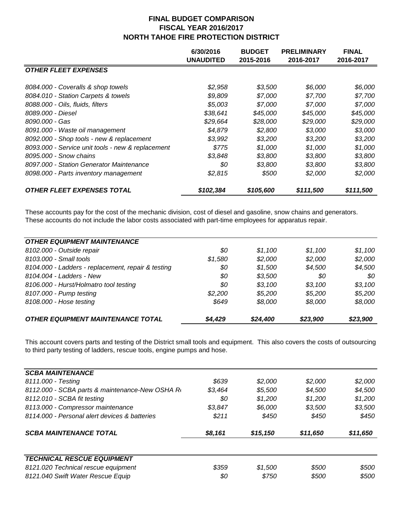|                                                                              | 6/30/2016<br><b>UNAUDITED</b> | <b>BUDGET</b><br>2015-2016 | <b>PRELIMINARY</b><br>2016-2017 | <b>FINAL</b><br>2016-2017 |
|------------------------------------------------------------------------------|-------------------------------|----------------------------|---------------------------------|---------------------------|
| <b>OTHER FLEET EXPENSES</b>                                                  |                               |                            |                                 |                           |
| 8084.000 - Coveralls & shop towels<br>8084.010 - Station Carpets & towels    | \$2,958<br>\$9,809            | \$3,500<br>\$7,000         | \$6,000<br>\$7,700              | \$6,000<br>\$7,700        |
| 8088.000 - Oils, fluids, filters                                             | \$5,003                       | \$7,000                    | \$7,000                         | \$7,000                   |
| 8089.000 - Diesel<br>8090.000 - Gas                                          | \$38,641<br>\$29,664          | \$45,000<br>\$28,000       | \$45,000<br>\$29,000            | \$45,000<br>\$29,000      |
| 8091.000 - Waste oil management<br>8092.000 - Shop tools - new & replacement | \$4,879<br>\$3,992            | \$2,800<br>\$3,200         | \$3,000<br>\$3,200              | \$3,000<br>\$3,200        |
| 8093.000 - Service unit tools - new & replacement<br>8095.000 - Snow chains  | \$775<br>\$3,848              | \$1,000                    | \$1,000                         | \$1,000<br>\$3,800        |
| 8097.000 - Station Generator Maintenance                                     | \$0                           | \$3,800<br>\$3,800         | \$3,800<br>\$3,800              | \$3,800                   |
| 8098.000 - Parts inventory management                                        | \$2,815                       | \$500                      | \$2,000                         | \$2,000                   |
| <b>OTHER FLEET EXPENSES TOTAL</b>                                            | \$102,384                     | \$105,600                  | \$111,500                       | \$111,500                 |

These accounts pay for the cost of the mechanic division, cost of diesel and gasoline, snow chains and generators. These accounts do not include the labor costs associated with part-time employees for apparatus repair.

| <b>OTHER EQUIPMENT MAINTENANCE</b>                 |         |          |          |          |
|----------------------------------------------------|---------|----------|----------|----------|
| 8102.000 - Outside repair                          | \$0     | \$1.100  | \$1.100  | \$1.100  |
| 8103.000 - Small tools                             | \$1.580 | \$2,000  | \$2,000  | \$2,000  |
| 8104.000 - Ladders - replacement, repair & testing | \$0     | \$1,500  | \$4,500  | \$4,500  |
| 8104.004 - Ladders - New                           | \$0     | \$3,500  | 80       | 80       |
| 8106.000 - Hurst/Holmatro tool testing             | \$0     | \$3.100  | \$3,100  | \$3,100  |
| 8107.000 - Pump testing                            | \$2.200 | \$5,200  | \$5,200  | \$5,200  |
| 8108.000 - Hose testing                            | \$649   | \$8,000  | \$8,000  | \$8,000  |
| <b>OTHER EQUIPMENT MAINTENANCE TOTAL</b>           | \$4,429 | \$24,400 | \$23,900 | \$23,900 |

This account covers parts and testing of the District small tools and equipment. This also covers the costs of outsourcing to third party testing of ladders, rescue tools, engine pumps and hose.

| <b>SCBA MAINTENANCE</b>                        |         |          |          |          |
|------------------------------------------------|---------|----------|----------|----------|
| 8111.000 - Testing                             | \$639   | \$2,000  | \$2,000  | \$2,000  |
| 8112.000 - SCBA parts & maintenance-New OSHA R | \$3.464 | \$5,500  | \$4,500  | \$4,500  |
| 8112.010 - SCBA fit testing                    | \$0     | \$1,200  | \$1,200  | \$1,200  |
| 8113.000 - Compressor maintenance              | \$3,847 | \$6,000  | \$3,500  | \$3,500  |
| 8114.000 - Personal alert devices & batteries  | \$211   | \$450    | \$450    | \$450    |
|                                                |         |          |          |          |
| <b>SCBA MAINTENANCE TOTAL</b>                  | \$8,161 | \$15,150 | \$11,650 | \$11,650 |
| <b>TECHNICAL RESCUE EQUIPMENT</b>              |         |          |          |          |
| 8121.020 Technical rescue equipment            | \$359   | \$1,500  | \$500    | \$500    |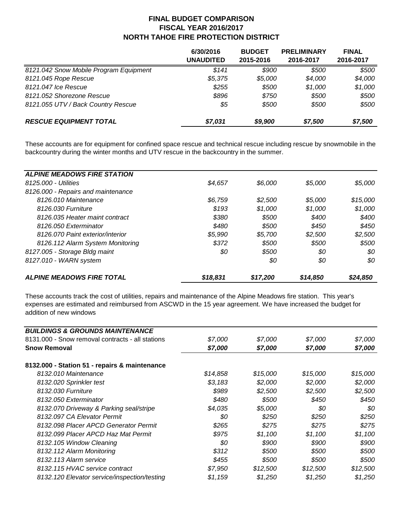|                                        | 6/30/2016<br>UNAUDITED | <b>BUDGET</b><br>2015-2016 | <b>PRELIMINARY</b><br>2016-2017 | <b>FINAL</b><br>2016-2017 |
|----------------------------------------|------------------------|----------------------------|---------------------------------|---------------------------|
| 8121.042 Snow Mobile Program Equipment | \$141                  | \$900                      | \$500                           | \$500                     |
| 8121.045 Rope Rescue                   | \$5,375                | \$5,000                    | \$4,000                         | \$4,000                   |
| 8121.047 Ice Rescue                    | \$255                  | \$500                      | \$1,000                         | \$1,000                   |
| 8121.052 Shorezone Rescue              | \$896                  | \$750                      | \$500                           | \$500                     |
| 8121.055 UTV / Back Country Rescue     | \$5                    | \$500                      | \$500                           | \$500                     |
| <b>RESCUE EQUIPMENT TOTAL</b>          | \$7,031                | \$9,900                    | \$7,500                         | \$7,500                   |

These accounts are for equipment for confined space rescue and technical rescue including rescue by snowmobile in the backcountry during the winter months and UTV rescue in the backcountry in the summer.

| <b>ALPINE MEADOWS FIRE STATION</b> |          |          |          |          |
|------------------------------------|----------|----------|----------|----------|
| 8125.000 - Utilities               | \$4,657  | \$6,000  | \$5,000  | \$5.000  |
| 8126.000 - Repairs and maintenance |          |          |          |          |
| 8126.010 Maintenance               | \$6.759  | \$2,500  | \$5,000  | \$15,000 |
| 8126.030 Furniture                 | \$193    | \$1,000  | \$1,000  | \$1,000  |
| 8126.035 Heater maint contract     | \$380    | \$500    | \$400    | \$400    |
| 8126.050 Exterminator              | \$480    | \$500    | \$450    | \$450    |
| 8126.070 Paint exterior/interior   | \$5.990  | \$5.700  | \$2.500  | \$2,500  |
| 8126.112 Alarm System Monitoring   | \$372    | \$500    | \$500    | \$500    |
| 8127.005 - Storage Bldg maint      | \$0      | \$500    | 80       | \$0      |
| 8127.010 - WARN system             |          | \$0      | \$0      | \$0      |
| <b>ALPINE MEADOWS FIRE TOTAL</b>   | \$18.831 | \$17.200 | \$14,850 | \$24,850 |

These accounts track the cost of utilities, repairs and maintenance of the Alpine Meadows fire station. This year's expenses are estimated and reimbursed from ASCWD in the 15 year agreement. We have increased the budget for addition of new windows

| <b>BUILDINGS &amp; GROUNDS MAINTENANCE</b>       |          |          |          |          |
|--------------------------------------------------|----------|----------|----------|----------|
| 8131,000 - Snow removal contracts - all stations | \$7,000  | \$7,000  | \$7,000  | \$7,000  |
| <b>Snow Removal</b>                              | \$7,000  | \$7,000  | \$7,000  | \$7,000  |
| 8132.000 - Station 51 - repairs & maintenance    |          |          |          |          |
| 8132.010 Maintenance                             | \$14,858 | \$15,000 | \$15,000 | \$15,000 |
| 8132.020 Sprinkler test                          | \$3,183  | \$2,000  | \$2,000  | \$2,000  |
| 8132.030 Furniture                               | \$989    | \$2,500  | \$2,500  | \$2,500  |
| 8132.050 Exterminator                            | \$480    | \$500    | \$450    | \$450    |
| 8132.070 Driveway & Parking seal/stripe          | \$4,035  | \$5,000  | \$0      | \$0      |
| 8132.097 CA Elevator Permit                      | \$0      | \$250    | \$250    | \$250    |
| 8132.098 Placer APCD Generator Permit            | \$265    | \$275    | \$275    | \$275    |
| 8132.099 Placer APCD Haz Mat Permit              | \$975    | \$1,100  | \$1,100  | \$1,100  |
| 8132.105 Window Cleaning                         | \$0      | \$900    | \$900    | \$900    |
| 8132.112 Alarm Monitoring                        | \$312    | \$500    | \$500    | \$500    |
| 8132.113 Alarm service                           | \$455    | \$500    | \$500    | \$500    |
| 8132.115 HVAC service contract                   | \$7,950  | \$12,500 | \$12,500 | \$12,500 |
| 8132.120 Elevator service/inspection/testing     | \$1,159  | \$1,250  | \$1,250  | \$1,250  |
|                                                  |          |          |          |          |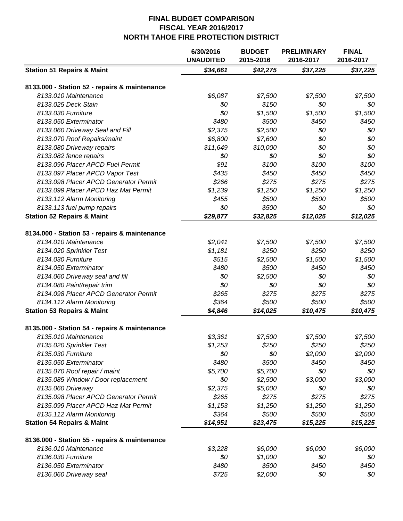|                                               | 6/30/2016<br><b>UNAUDITED</b> | <b>BUDGET</b><br>2015-2016 | <b>PRELIMINARY</b><br>2016-2017 | <b>FINAL</b><br>2016-2017 |
|-----------------------------------------------|-------------------------------|----------------------------|---------------------------------|---------------------------|
| <b>Station 51 Repairs &amp; Maint</b>         | \$34,661                      | \$42,275                   | \$37,225                        | $\sqrt{$37,225}$          |
|                                               |                               |                            |                                 |                           |
| 8133.000 - Station 52 - repairs & maintenance |                               |                            |                                 |                           |
| 8133.010 Maintenance                          | \$6,087                       | \$7,500                    | \$7,500                         | \$7,500                   |
| 8133.025 Deck Stain                           | \$0                           | \$150                      | \$0                             | \$0                       |
| 8133.030 Furniture                            | \$0                           | \$1,500                    | \$1,500                         | \$1,500                   |
| 8133.050 Exterminator                         | \$480                         | \$500                      | \$450                           | \$450                     |
| 8133.060 Driveway Seal and Fill               | \$2,375                       | \$2,500                    | \$0                             | \$0                       |
| 8133.070 Roof Repairs/maint                   | \$6,800                       | \$7,600                    | \$0                             | \$0                       |
| 8133.080 Driveway repairs                     | \$11,649                      | \$10,000                   | \$0                             | \$0                       |
| 8133.082 fence repairs                        | \$0                           | \$0                        | \$0                             | \$0                       |
| 8133.096 Placer APCD Fuel Permit              | \$91                          | \$100                      | \$100                           | \$100                     |
| 8133.097 Placer APCD Vapor Test               | \$435                         | \$450                      | \$450                           | \$450                     |
| 8133.098 Placer APCD Generator Permit         | \$266                         | \$275                      | \$275                           | \$275                     |
| 8133.099 Placer APCD Haz Mat Permit           | \$1,239                       | \$1,250                    | \$1,250                         | \$1,250                   |
| 8133.112 Alarm Monitoring                     | \$455                         | \$500                      | \$500                           | \$500                     |
| 8133.113 fuel pump repairs                    | \$0                           | \$500                      | \$0                             | \$0                       |
| <b>Station 52 Repairs &amp; Maint</b>         | \$29,877                      | \$32,825                   | \$12,025                        | \$12,025                  |
|                                               |                               |                            |                                 |                           |
| 8134.000 - Station 53 - repairs & maintenance |                               |                            |                                 |                           |
| 8134.010 Maintenance                          | \$2,041                       | \$7,500                    | \$7,500                         | \$7,500                   |
| 8134.020 Sprinkler Test                       | \$1,181                       | \$250                      | \$250                           | \$250                     |
| 8134.030 Furniture                            | \$515                         | \$2,500                    | \$1,500                         | \$1,500                   |
| 8134.050 Exterminator                         | \$480                         | \$500                      | \$450                           | \$450                     |
| 8134.060 Driveway seal and fill               | \$0                           | \$2,500                    | \$0                             | \$0                       |
| 8134.080 Paint/repair trim                    | \$0                           | \$0                        | \$0                             | \$0                       |
| 8134.098 Placer APCD Generator Permit         | \$265                         | \$275                      | \$275                           | \$275                     |
| 8134.112 Alarm Monitoring                     | \$364                         | \$500                      | \$500                           | \$500                     |
| <b>Station 53 Repairs &amp; Maint</b>         | \$4,846                       | \$14,025                   | \$10,475                        | \$10,475                  |
| 8135.000 - Station 54 - repairs & maintenance |                               |                            |                                 |                           |
| 8135.010 Maintenance                          | \$3,361                       | \$7,500                    | \$7,500                         | \$7,500                   |
| 8135.020 Sprinkler Test                       | \$1,253                       | \$250                      | \$250                           | \$250                     |
| 8135.030 Furniture                            | \$0                           | \$0                        | \$2,000                         | \$2,000                   |
| 8135.050 Exterminator                         | \$480                         | \$500                      | \$450                           | \$450                     |
| 8135.070 Roof repair / maint                  | \$5,700                       | \$5,700                    | \$0                             | \$0                       |
| 8135.085 Window / Door replacement            | \$0                           | \$2,500                    | \$3,000                         | \$3,000                   |
| 8135.060 Driveway                             | \$2,375                       | \$5,000                    | \$0                             | \$0                       |
| 8135.098 Placer APCD Generator Permit         | \$265                         | \$275                      | \$275                           | \$275                     |
|                                               |                               |                            |                                 |                           |
| 8135.099 Placer APCD Haz Mat Permit           | \$1,153                       | \$1,250                    | \$1,250                         | \$1,250                   |
| 8135.112 Alarm Monitoring                     | \$364                         | \$500                      | \$500                           | \$500                     |
| <b>Station 54 Repairs &amp; Maint</b>         | \$14,951                      | \$23,475                   | \$15,225                        | \$15,225                  |
| 8136.000 - Station 55 - repairs & maintenance |                               |                            |                                 |                           |
| 8136.010 Maintenance                          | \$3,228                       | \$6,000                    | \$6,000                         | \$6,000                   |
| 8136.030 Furniture                            | \$0                           | \$1,000                    | \$0                             | \$0                       |
| 8136.050 Exterminator                         | \$480                         | \$500                      | \$450                           | \$450                     |
| 8136.060 Driveway seal                        | \$725                         | \$2,000                    | \$0                             | \$0                       |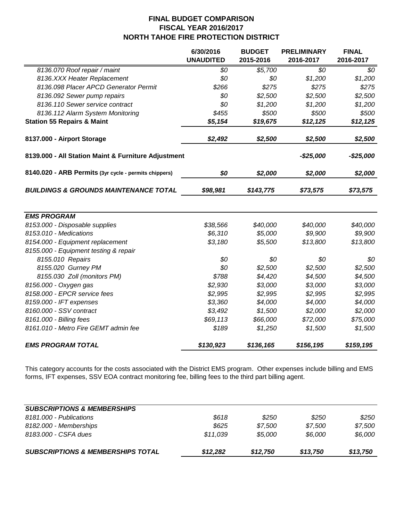|                                                       | 6/30/2016<br><b>UNAUDITED</b> | <b>BUDGET</b><br>2015-2016 | <b>PRELIMINARY</b><br>2016-2017 | <b>FINAL</b><br>2016-2017 |
|-------------------------------------------------------|-------------------------------|----------------------------|---------------------------------|---------------------------|
| 8136.070 Roof repair / maint                          | \$0                           | \$5,700                    | $\overline{SO}$                 | \$0                       |
| 8136.XXX Heater Replacement                           | \$0                           | \$0                        | \$1,200                         | \$1,200                   |
| 8136.098 Placer APCD Generator Permit                 | \$266                         | \$275                      | \$275                           | \$275                     |
| 8136.092 Sewer pump repairs                           | \$0                           | \$2,500                    | \$2,500                         | \$2,500                   |
| 8136.110 Sewer service contract                       | \$0                           | \$1,200                    | \$1,200                         | \$1,200                   |
| 8136.112 Alarm System Monitoring                      | \$455                         | \$500                      | \$500                           | \$500                     |
| <b>Station 55 Repairs &amp; Maint</b>                 | \$5,154                       | \$19,675                   | \$12,125                        | \$12,125                  |
| 8137.000 - Airport Storage                            | \$2,492                       | \$2,500                    | \$2,500                         | \$2,500                   |
| 8139.000 - All Station Maint & Furniture Adjustment   |                               |                            | $-$25,000$                      | $-$25,000$                |
| 8140.020 - ARB Permits (3yr cycle - permits chippers) | \$0                           | \$2,000                    | \$2,000                         | \$2,000                   |
| <b>BUILDINGS &amp; GROUNDS MAINTENANCE TOTAL</b>      | \$98,981                      | \$143,775                  | \$73,575                        | \$73,575                  |
| <b>EMS PROGRAM</b>                                    |                               |                            |                                 |                           |
| 8153.000 - Disposable supplies                        | \$38,566                      | \$40,000                   | \$40,000                        | \$40,000                  |
| 8153.010 - Medications                                | \$6,310                       | \$5,000                    | \$9,900                         | \$9,900                   |
| 8154.000 - Equipment replacement                      | \$3,180                       | \$5,500                    | \$13,800                        | \$13,800                  |
| 8155.000 - Equipment testing & repair                 |                               |                            |                                 |                           |
| 8155.010 Repairs                                      | \$0                           | \$0                        | \$0                             | \$0                       |
| 8155.020 Gurney PM                                    | \$0                           | \$2,500                    | \$2,500                         | \$2,500                   |
| 8155.030 Zoll (monitors PM)                           | \$788                         | \$4,420                    | \$4,500                         | \$4,500                   |
| 8156.000 - Oxygen gas                                 | \$2,930                       | \$3,000                    | \$3,000                         | \$3,000                   |
| 8158.000 - EPCR service fees                          | \$2,995                       | \$2,995                    | \$2,995                         | \$2,995                   |
| 8159.000 - IFT expenses                               | \$3,360                       | \$4,000                    | \$4,000                         | \$4,000                   |
| 8160.000 - SSV contract                               | \$3,492                       | \$1,500                    | \$2,000                         | \$2,000                   |
| 8161.000 - Billing fees                               | \$69,113                      | \$66,000                   | \$72,000                        | \$75,000                  |
| 8161.010 - Metro Fire GEMT admin fee                  | \$189                         | \$1,250                    | \$1,500                         | \$1,500                   |
| <b>EMS PROGRAM TOTAL</b>                              | \$130,923                     | \$136,165                  | \$156,195                       | \$159,195                 |

This category accounts for the costs associated with the District EMS program. Other expenses include billing and EMS forms, IFT expenses, SSV EOA contract monitoring fee, billing fees to the third part billing agent.

| <b>SUBSCRIPTIONS &amp; MEMBERSHIPS TOTAL</b> | \$12,282 | \$12,750 | \$13,750 | \$13,750 |
|----------------------------------------------|----------|----------|----------|----------|
| 8183.000 - CSFA dues                         | \$11.039 | \$5.000  | \$6.000  | \$6,000  |
| 8182.000 - Memberships                       | \$625    | \$7.500  | \$7.500  | \$7.500  |
| 8181,000 - Publications                      | \$618    | \$250    | \$250    | \$250    |
| <b>SUBSCRIPTIONS &amp; MEMBERSHIPS</b>       |          |          |          |          |
|                                              |          |          |          |          |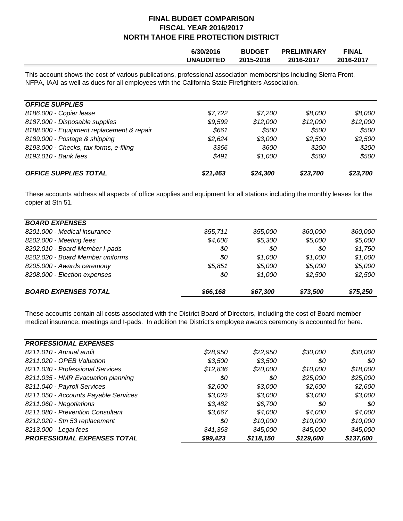| 6/30/2016        | <b>BUDGET</b> | <b>PRELIMINARY</b> | <b>FINAL</b> |
|------------------|---------------|--------------------|--------------|
| <b>UNAUDITED</b> | 2015-2016     | 2016-2017          | 2016-2017    |
|                  |               |                    |              |

This account shows the cost of various publications, professional association memberships including Sierra Front, NFPA, IAAI as well as dues for all employees with the California State Firefighters Association.

| <b>OFFICE SUPPLIES</b>                    |          |          |          |          |
|-------------------------------------------|----------|----------|----------|----------|
| 8186.000 - Copier lease                   | \$7.722  | \$7.200  | \$8.000  | \$8.000  |
| 8187.000 - Disposable supplies            | \$9,599  | \$12,000 | \$12,000 | \$12,000 |
| 8188.000 - Equipment replacement & repair | \$661    | \$500    | \$500    | \$500    |
| 8189.000 - Postage & shipping             | \$2.624  | \$3,000  | \$2,500  | \$2,500  |
| 8193.000 - Checks, tax forms, e-filing    | \$366    | \$600    | \$200    | \$200    |
| 8193.010 - Bank fees                      | \$491    | \$1.000  | \$500    | \$500    |
| <b>OFFICE SUPPLIES TOTAL</b>              | \$21,463 | \$24,300 | \$23,700 | \$23,700 |

These accounts address all aspects of office supplies and equipment for all stations including the monthly leases for the copier at Stn 51.

| <b>BOARD EXPENSES</b>            |          |          |          |          |
|----------------------------------|----------|----------|----------|----------|
| 8201.000 - Medical insurance     | \$55,711 | \$55,000 | \$60,000 | \$60,000 |
| 8202.000 - Meeting fees          | \$4,606  | \$5,300  | \$5,000  | \$5,000  |
| 8202.010 - Board Member I-pads   | \$0      | 80       | \$0      | \$1,750  |
| 8202.020 - Board Member uniforms | 80       | \$1.000  | \$1,000  | \$1,000  |
| 8205.000 - Awards ceremony       | \$5,851  | \$5,000  | \$5,000  | \$5,000  |
| 8208.000 - Election expenses     | \$0      | \$1,000  | \$2,500  | \$2,500  |
| <b>BOARD EXPENSES TOTAL</b>      | \$66,168 | \$67,300 | \$73,500 | \$75,250 |

These accounts contain all costs associated with the District Board of Directors, including the cost of Board member medical insurance, meetings and I-pads. In addition the District's employee awards ceremony is accounted for here.

| <b>PROFESSIONAL EXPENSES</b>         |          |           |           |           |
|--------------------------------------|----------|-----------|-----------|-----------|
| 8211.010 - Annual audit              | \$28,950 | \$22,950  | \$30,000  | \$30,000  |
| 8211.020 - OPEB Valuation            | \$3,500  | \$3,500   | 80        | 80        |
| 8211.030 - Professional Services     | \$12,836 | \$20,000  | \$10,000  | \$18,000  |
| 8211.035 - HMR Evacuation planning   | \$0      | 80        | \$25,000  | \$25,000  |
| 8211.040 - Payroll Services          | \$2,600  | \$3,000   | \$2,600   | \$2,600   |
| 8211.050 - Accounts Payable Services | \$3,025  | \$3,000   | \$3,000   | \$3,000   |
| 8211.060 - Negotiations              | \$3,482  | \$6,700   | 80        | 80        |
| 8211.080 - Prevention Consultant     | \$3,667  | \$4.000   | \$4,000   | \$4,000   |
| 8212.020 - Stn 53 replacement        | \$0      | \$10,000  | \$10,000  | \$10,000  |
| 8213.000 - Legal fees                | \$41,363 | \$45,000  | \$45,000  | \$45,000  |
| PROFESSIONAL EXPENSES TOTAL          | \$99,423 | \$118,150 | \$129,600 | \$137,600 |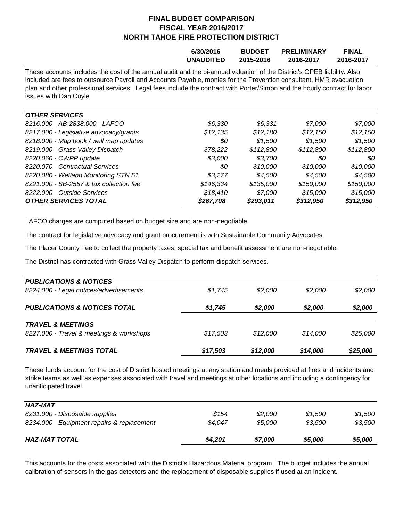|                                                                                                                                                                                                                                              | 6/30/2016        | <b>BUDGET</b> | <b>PRELIMINARY</b> | <b>FINAL</b> |  |  |
|----------------------------------------------------------------------------------------------------------------------------------------------------------------------------------------------------------------------------------------------|------------------|---------------|--------------------|--------------|--|--|
|                                                                                                                                                                                                                                              | <b>UNAUDITED</b> | 2015-2016     | 2016-2017          | 2016-2017    |  |  |
| These accounts includes the cost of the annual audit and the bi-annual valuation of the District's OPEB liability. Also<br>included are fees to outsource Payroll and Accounts Payable, monies for the Prevention consultant. HMR evacuation |                  |               |                    |              |  |  |

included are fees to outsource Payroll and Accounts Payable, monies for the Prevention consultant, HMR evacuation plan and other professional services. Legal fees include the contract with Porter/Simon and the hourly contract for labor issues with Dan Coyle.

| <b>OTHER SERVICES</b>                   |           |           |           |           |
|-----------------------------------------|-----------|-----------|-----------|-----------|
| 8216.000 - AB-2838.000 - LAFCO          | \$6.330   | \$6.331   | \$7,000   | \$7,000   |
| 8217.000 - Legislative advocacy/grants  | \$12,135  | \$12,180  | \$12,150  | \$12,150  |
| 8218.000 - Map book / wall map updates  | 80        | \$1,500   | \$1,500   | \$1,500   |
| 8219.000 - Grass Valley Dispatch        | \$78,222  | \$112,800 | \$112,800 | \$112,800 |
| 8220.060 - CWPP update                  | \$3,000   | \$3,700   | 80        | 80        |
| 8220.070 - Contractual Services         | 80        | \$10,000  | \$10,000  | \$10,000  |
| 8220.080 - Wetland Monitoring STN 51    | \$3.277   | \$4,500   | \$4,500   | \$4,500   |
| 8221.000 - SB-2557 & tax collection fee | \$146,334 | \$135,000 | \$150,000 | \$150,000 |
| 8222.000 - Outside Services             | \$18,410  | \$7,000   | \$15,000  | \$15,000  |
| <b>OTHER SERVICES TOTAL</b>             | \$267,708 | \$293,011 | \$312,950 | \$312,950 |

LAFCO charges are computed based on budget size and are non-negotiable.

The contract for legislative advocacy and grant procurement is with Sustainable Community Advocates.

The Placer County Fee to collect the property taxes, special tax and benefit assessment are non-negotiable.

The District has contracted with Grass Valley Dispatch to perform dispatch services.

| 8227.000 - Travel & meetings & workshops                                     | \$17,503 | \$12,000 | \$14.000 | \$25,000 |
|------------------------------------------------------------------------------|----------|----------|----------|----------|
| <b>TRAVEL &amp; MEETINGS</b>                                                 |          |          | \$2,000  | \$2,000  |
| <b>PUBLICATIONS &amp; NOTICES TOTAL</b>                                      | \$1,745  | \$2,000  |          |          |
| <b>PUBLICATIONS &amp; NOTICES</b><br>8224.000 - Legal notices/advertisements | \$1,745  | \$2.000  | \$2,000  | \$2,000  |

These funds account for the cost of District hosted meetings at any station and meals provided at fires and incidents and strike teams as well as expenses associated with travel and meetings at other locations and including a contingency for unanticipated travel.

| <b>HAZ-MAT</b>                             |         |         |         |         |
|--------------------------------------------|---------|---------|---------|---------|
| 8231.000 - Disposable supplies             | \$154   | \$2.000 | \$1.500 | \$1.500 |
| 8234.000 - Equipment repairs & replacement | \$4.047 | \$5.000 | \$3,500 | \$3,500 |
| <b>HAZ-MAT TOTAL</b>                       | \$4,201 | \$7,000 | \$5,000 | \$5,000 |

This accounts for the costs associated with the District's Hazardous Material program. The budget includes the annual calibration of sensors in the gas detectors and the replacement of disposable supplies if used at an incident.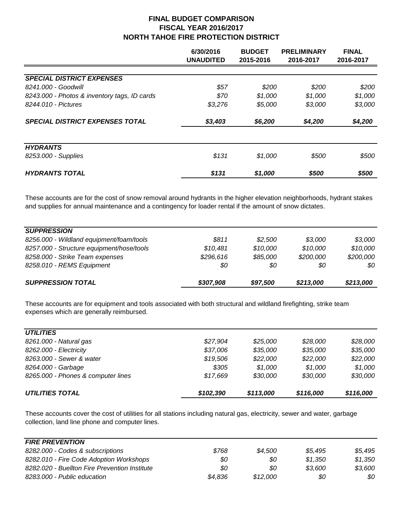|                                              | 6/30/2016<br><b>UNAUDITED</b> | <b>BUDGET</b><br>2015-2016 | <b>PRELIMINARY</b><br>2016-2017 | <b>FINAL</b><br>2016-2017 |
|----------------------------------------------|-------------------------------|----------------------------|---------------------------------|---------------------------|
|                                              |                               |                            |                                 |                           |
| <b>SPECIAL DISTRICT EXPENSES</b>             |                               |                            |                                 |                           |
| 8241.000 - Goodwill                          | \$57                          | \$200                      | \$200                           | \$200                     |
| 8243.000 - Photos & inventory tags, ID cards | \$70                          | \$1,000                    | \$1,000                         | \$1,000                   |
| 8244.010 - Pictures                          | \$3,276                       | \$5,000                    | \$3,000                         | \$3,000                   |
| <b>SPECIAL DISTRICT EXPENSES TOTAL</b>       | \$3,403                       | \$6,200                    | \$4,200                         | \$4,200                   |
| <b>HYDRANTS</b>                              |                               |                            |                                 |                           |
| 8253.000 - Supplies                          | \$131                         | \$1,000                    | \$500                           | \$500                     |
| <b>HYDRANTS TOTAL</b>                        | \$131                         | \$1,000                    | \$500                           | \$500                     |

These accounts are for the cost of snow removal around hydrants in the higher elevation neighborhoods, hydrant stakes and supplies for annual maintenance and a contingency for loader rental if the amount of snow dictates.

| <b>SUPPRESSION</b>                        |           |          |           |           |
|-------------------------------------------|-----------|----------|-----------|-----------|
| 8256.000 - Wildland equipment/foam/tools  | \$811     | \$2,500  | \$3,000   | \$3,000   |
| 8257.000 - Structure equipment/hose/tools | \$10,481  | \$10,000 | \$10,000  | \$10,000  |
| 8258.000 - Strike Team expenses           | \$296,616 | \$85,000 | \$200,000 | \$200,000 |
| 8258.010 - REMS Equipment                 | \$0       | 80       | 80        | \$0       |
| <b>SUPPRESSION TOTAL</b>                  | \$307,908 | \$97,500 | \$213,000 | \$213,000 |
|                                           |           |          |           |           |

These accounts are for equipment and tools associated with both structural and wildland firefighting, strike team expenses which are generally reimbursed.

| <b>UTILITIES</b>                   |           |           |           |           |
|------------------------------------|-----------|-----------|-----------|-----------|
| 8261.000 - Natural gas             | \$27,904  | \$25,000  | \$28.000  | \$28,000  |
| 8262.000 - Electricity             | \$37,006  | \$35,000  | \$35,000  | \$35,000  |
| 8263.000 - Sewer & water           | \$19,506  | \$22,000  | \$22,000  | \$22,000  |
| 8264.000 - Garbage                 | \$305     | \$1,000   | \$1.000   | \$1,000   |
| 8265.000 - Phones & computer lines | \$17,669  | \$30,000  | \$30,000  | \$30,000  |
| <b>UTILITIES TOTAL</b>             | \$102,390 | \$113,000 | \$116,000 | \$116,000 |

These accounts cover the cost of utilities for all stations including natural gas, electricity, sewer and water, garbage collection, land line phone and computer lines.

| <b>FIRE PREVENTION</b>                        |         |          |         |         |
|-----------------------------------------------|---------|----------|---------|---------|
| 8282.000 - Codes & subscriptions              | \$768   | \$4.500  | \$5.495 | \$5.495 |
| 8282.010 - Fire Code Adoption Workshops       | \$0     | \$0      | \$1.350 | \$1.350 |
| 8282.020 - Buellton Fire Prevention Institute | \$0     | 80       | \$3.600 | \$3.600 |
| 8283.000 - Public education                   | \$4.836 | \$12.000 | 80      | 80      |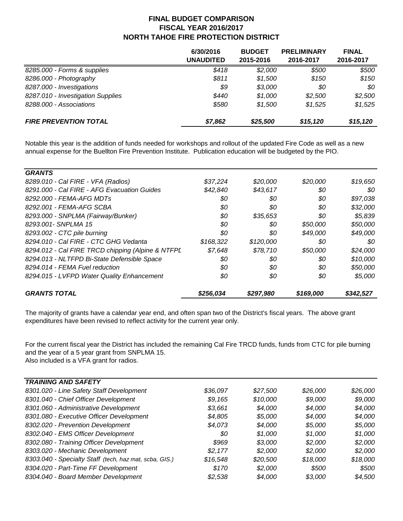|                                   | 6/30/2016<br>UNAUDITED | <b>BUDGET</b><br>2015-2016 | <b>PRELIMINARY</b><br>2016-2017 | <b>FINAL</b><br>2016-2017 |
|-----------------------------------|------------------------|----------------------------|---------------------------------|---------------------------|
| 8285.000 - Forms & supplies       | \$418                  | \$2,000                    | \$500                           | \$500                     |
| 8286.000 - Photography            | \$811                  | \$1,500                    | \$150                           | \$150                     |
| 8287.000 - Investigations         | \$9                    | \$3,000                    | 80                              | 80                        |
| 8287.010 - Investigation Supplies | \$440                  | \$1,000                    | \$2.500                         | \$2,500                   |
| 8288.000 - Associations           | \$580                  | \$1.500                    | \$1,525                         | \$1,525                   |
| <b>FIRE PREVENTION TOTAL</b>      | \$7,862                | \$25,500                   | \$15,120                        | \$15,120                  |

Notable this year is the addition of funds needed for workshops and rollout of the updated Fire Code as well as a new annual expense for the Buellton Fire Prevention Institute. Publication education will be budgeted by the PIO.

| <b>GRANTS</b>                                     |           |           |           |           |
|---------------------------------------------------|-----------|-----------|-----------|-----------|
| 8289.010 - Cal FIRE - VFA (Radios)                | \$37,224  | \$20,000  | \$20,000  | \$19,650  |
| 8291.000 - Cal FIRE - AFG Evacuation Guides       | \$42,840  | \$43,617  | 80        | 80        |
| 8292.000 - FEMA-AFG MDTs                          | \$0       | 80        | \$0       | \$97,038  |
| 8292.001 - FEMA-AFG SCBA                          | \$0       | \$0       | 80        | \$32,000  |
| 8293.000 - SNPLMA (Fairway/Bunker)                | \$0       | \$35,653  | 80        | \$5,839   |
| 8293.001 - SNPLMA 15                              | \$0       | \$0       | \$50.000  | \$50,000  |
| 8293.002 - CTC pile burning                       | \$0       | 80        | \$49,000  | \$49,000  |
| 8294.010 - Cal FIRE - CTC GHG Vedanta             | \$168,322 | \$120,000 | 80        | 80        |
| 8294.012 - Cal FIRE TRCD chipping (Alpine & NTFPL | \$7,648   | \$78,710  | \$50,000  | \$24,000  |
| 8294.013 - NLTFPD Bi-State Defensible Space       | \$0       | \$0       | \$0       | \$10,000  |
| 8294.014 - FEMA Fuel reduction                    | \$0       | \$0       | \$0       | \$50,000  |
| 8294.015 - LVFPD Water Quality Enhancement        | \$0       | \$0       | 80        | \$5,000   |
| <b>GRANTS TOTAL</b>                               | \$256,034 | \$297,980 | \$169,000 | \$342,527 |

The majority of grants have a calendar year end, and often span two of the District's fiscal years. The above grant expenditures have been revised to reflect activity for the current year only.

For the current fiscal year the District has included the remaining Cal Fire TRCD funds, funds from CTC for pile burning and the year of a 5 year grant from SNPLMA 15. Also included is a VFA grant for radios.

| <b>TRAINING AND SAFETY</b>                             |          |          |          |          |
|--------------------------------------------------------|----------|----------|----------|----------|
| 8301.020 - Line Safety Staff Development               | \$36,097 | \$27,500 | \$26,000 | \$26,000 |
| 8301.040 - Chief Officer Development                   | \$9.165  | \$10,000 | \$9,000  | \$9,000  |
| 8301.060 - Administrative Development                  | \$3.661  | \$4,000  | \$4,000  | \$4,000  |
| 8301.080 - Executive Officer Development               | \$4,805  | \$5,000  | \$4,000  | \$4,000  |
| 8302.020 - Prevention Development                      | \$4,073  | \$4,000  | \$5,000  | \$5,000  |
| 8302.040 - EMS Officer Development                     | \$0      | \$1,000  | \$1,000  | \$1,000  |
| 8302.080 - Training Officer Development                | \$969    | \$3,000  | \$2.000  | \$2,000  |
| 8303.020 - Mechanic Development                        | \$2,177  | \$2,000  | \$2.000  | \$2,000  |
| 8303.040 - Specialty Staff (tech, haz mat, scba, GIS.) | \$16,548 | \$20,500 | \$18,000 | \$18,000 |
| 8304.020 - Part-Time FF Development                    | \$170    | \$2,000  | \$500    | \$500    |
| 8304.040 - Board Member Development                    | \$2.538  | \$4,000  | \$3,000  | \$4,500  |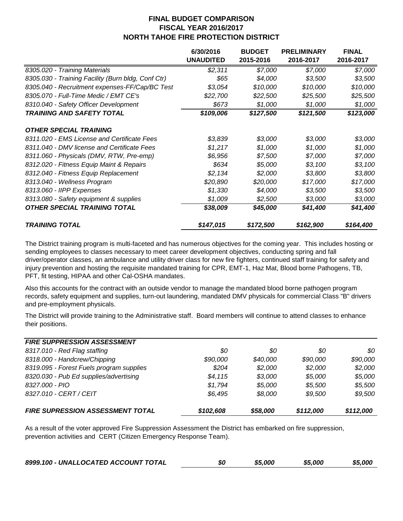|                                                    | 6/30/2016<br><b>UNAUDITED</b> | <b>BUDGET</b><br>2015-2016 | <b>PRELIMINARY</b><br>2016-2017 | <b>FINAL</b><br>2016-2017 |
|----------------------------------------------------|-------------------------------|----------------------------|---------------------------------|---------------------------|
| 8305.020 - Training Materials                      | \$2,311                       | \$7,000                    | \$7,000                         | \$7,000                   |
| 8305.030 - Training Facility (Burn bldg, Conf Ctr) | \$65                          | \$4,000                    | \$3,500                         | \$3,500                   |
| 8305.040 - Recruitment expenses-FF/Cap/BC Test     | \$3,054                       | \$10,000                   | \$10,000                        | \$10,000                  |
| 8305.070 - Full-Time Medic / EMT CE's              | \$22,700                      | \$22,500                   | \$25,500                        | \$25,500                  |
| 8310.040 - Safety Officer Development              | \$673                         | \$1,000                    | \$1,000                         | \$1,000                   |
| <b>TRAINING AND SAFETY TOTAL</b>                   | \$109,006                     | \$127,500                  | \$121,500                       | \$123,000                 |
| <b>OTHER SPECIAL TRAINING</b>                      |                               |                            |                                 |                           |
| 8311.020 - EMS License and Certificate Fees        | \$3,839                       | \$3,000                    | \$3,000                         | \$3,000                   |
| 8311.040 - DMV license and Certificate Fees        | \$1,217                       | \$1,000                    | \$1,000                         | \$1,000                   |
| 8311.060 - Physicals (DMV, RTW, Pre-emp)           | \$6,956                       | \$7,500                    | \$7,000                         | \$7,000                   |
| 8312.020 - Fitness Equip Maint & Repairs           | \$634                         | \$5,000                    | \$3,100                         | \$3,100                   |
| 8312.040 - Fitness Equip Replacement               | \$2,134                       | \$2,000                    | \$3,800                         | \$3,800                   |
| 8313.040 - Wellness Program                        | \$20,890                      | \$20,000                   | \$17,000                        | \$17,000                  |
| 8313.060 - IIPP Expenses                           | \$1,330                       | \$4,000                    | \$3,500                         | \$3,500                   |
| 8313.080 - Safety equipment & supplies             | \$1,009                       | \$2,500                    | \$3,000                         | \$3,000                   |
| <b>OTHER SPECIAL TRAINING TOTAL</b>                | \$38,009                      | \$45,000                   | \$41,400                        | \$41,400                  |
| <b>TRAINING TOTAL</b>                              | \$147,015                     | \$172,500                  | \$162,900                       | \$164,400                 |

The District training program is multi-faceted and has numerous objectives for the coming year. This includes hosting or sending employees to classes necessary to meet career development objectives, conducting spring and fall driver/operator classes, an ambulance and utility driver class for new fire fighters, continued staff training for safety and injury prevention and hosting the requisite mandated training for CPR, EMT-1, Haz Mat, Blood borne Pathogens, TB, PFT, fit testing, HIPAA and other Cal-OSHA mandates.

Also this accounts for the contract with an outside vendor to manage the mandated blood borne pathogen program records, safety equipment and supplies, turn-out laundering, mandated DMV physicals for commercial Class "B" drivers and pre-employment physicals.

The District will provide training to the Administrative staff. Board members will continue to attend classes to enhance their positions.

| <b>FIRE SUPPRESSION ASSESSMENT</b>       |           |          |           |           |
|------------------------------------------|-----------|----------|-----------|-----------|
| 8317.010 - Red Flag staffing             | \$0       | 80       | 80        | 80        |
| 8318.000 - Handcrew/Chipping             | \$90,000  | \$40.000 | \$90,000  | \$90,000  |
| 8319.095 - Forest Fuels program supplies | \$204     | \$2.000  | \$2,000   | \$2,000   |
| 8320.030 - Pub Ed supplies/advertising   | \$4,115   | \$3.000  | \$5,000   | \$5,000   |
| 8327.000 - PIO                           | \$1,794   | \$5,000  | \$5,500   | \$5,500   |
| 8327.010 - CERT / CEIT                   | \$6,495   | \$8.000  | \$9.500   | \$9,500   |
| <b>FIRE SUPRESSION ASSESSMENT TOTAL</b>  | \$102,608 | \$58,000 | \$112,000 | \$112,000 |

As a result of the voter approved Fire Suppression Assessment the District has embarked on fire suppression, prevention activities and CERT (Citizen Emergency Response Team).

| 8999.100 - UNALLOCATED ACCOUNT TOTAL | 80 | \$5,000 | \$5,000 | \$5,000 |
|--------------------------------------|----|---------|---------|---------|
|                                      |    |         |         |         |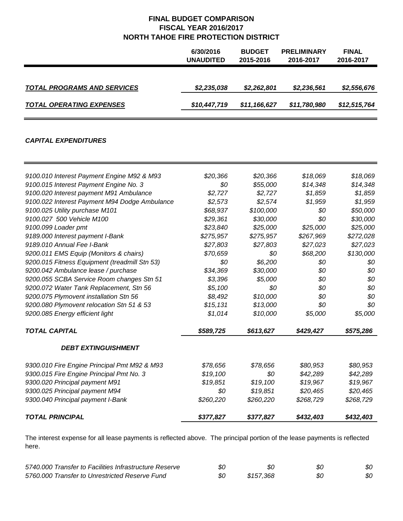|                                    | 6/30/2016<br>UNAUDITED | <b>BUDGET</b><br>2015-2016 | <b>PRELIMINARY</b><br>2016-2017 | <b>FINAL</b><br>2016-2017 |
|------------------------------------|------------------------|----------------------------|---------------------------------|---------------------------|
| <b>TOTAL PROGRAMS AND SERVICES</b> | \$2,235,038            | \$2,262,801                | \$2,236,561                     | \$2,556,676               |
| <b>TOTAL OPERATING EXPENSES</b>    | \$10,447,719           | \$11,166,627               | \$11,780,980                    | \$12,515,764              |

#### *CAPITAL EXPENDITURES*

| 9100.010 Interest Payment Engine M92 & M93    | \$20,366  | \$20,366  | \$18,069  | \$18,069  |
|-----------------------------------------------|-----------|-----------|-----------|-----------|
| 9100.015 Interest Payment Engine No. 3        | \$0       | \$55,000  | \$14,348  | \$14,348  |
| 9100.020 Interest payment M91 Ambulance       | \$2,727   | \$2,727   | \$1,859   | \$1,859   |
| 9100.022 Interest Payment M94 Dodge Ambulance | \$2,573   | \$2,574   | \$1,959   | \$1,959   |
| 9100.025 Utility purchase M101                | \$68,937  | \$100,000 | \$0       | \$50,000  |
| 9100.027 500 Vehicle M100                     | \$29,361  | \$30,000  | \$0       | \$30,000  |
| 9100.099 Loader pmt                           | \$23,840  | \$25,000  | \$25,000  | \$25,000  |
| 9189.000 Interest payment I-Bank              | \$275,957 | \$275,957 | \$267,969 | \$272,028 |
| 9189.010 Annual Fee I-Bank                    | \$27,803  | \$27,803  | \$27,023  | \$27,023  |
| 9200.011 EMS Equip (Monitors & chairs)        | \$70,659  | \$0       | \$68,200  | \$130,000 |
| 9200.015 Fitness Equipment (treadmill Stn 53) | \$0       | \$6,200   | \$0       | \$0       |
| 9200.042 Ambulance lease / purchase           | \$34,369  | \$30,000  | \$0       | \$0       |
| 9200.055 SCBA Service Room changes Stn 51     | \$3,396   | \$5,000   | \$0       | \$0       |
| 9200.072 Water Tank Replacement, Stn 56       | \$5,100   | \$0       | \$0       | \$0       |
| 9200.075 Plymovent installation Stn 56        | \$8,492   | \$10,000  | \$0       | \$0       |
| 9200.080 Plymovent relocation Stn 51 & 53     | \$15, 131 | \$13,000  | \$0       | \$0       |
| 9200.085 Energy efficient light               | \$1,014   | \$10,000  | \$5,000   | \$5,000   |
| <b>TOTAL CAPITAL</b>                          | \$589,725 | \$613,627 | \$429,427 | \$575,286 |
| <b>DEBT EXTINGUISHMENT</b>                    |           |           |           |           |
| 9300.010 Fire Engine Principal Pmt M92 & M93  | \$78,656  | \$78,656  | \$80,953  | \$80,953  |
| 9300.015 Fire Engine Principal Pmt No. 3      | \$19,100  | \$0       | \$42,289  | \$42,289  |
| 9300.020 Principal payment M91                | \$19,851  | \$19,100  | \$19,967  | \$19,967  |
| 9300.025 Principal payment M94                | \$0       | \$19,851  | \$20,465  | \$20,465  |
| 9300.040 Principal payment I-Bank             | \$260,220 | \$260,220 | \$268,729 | \$268,729 |
| <b>TOTAL PRINCIPAL</b>                        | \$377,827 | \$377,827 | \$432,403 | \$432,403 |

The interest expense for all lease payments is reflected above. The principal portion of the lease payments is reflected here.

| 5740.000 Transfer to Facilities Infrastructure Reserve | \$0 | 80        | 80 | 80 |
|--------------------------------------------------------|-----|-----------|----|----|
| 5760,000 Transfer to Unrestricted Reserve Fund         | 80  | \$157.368 | 80 | 80 |